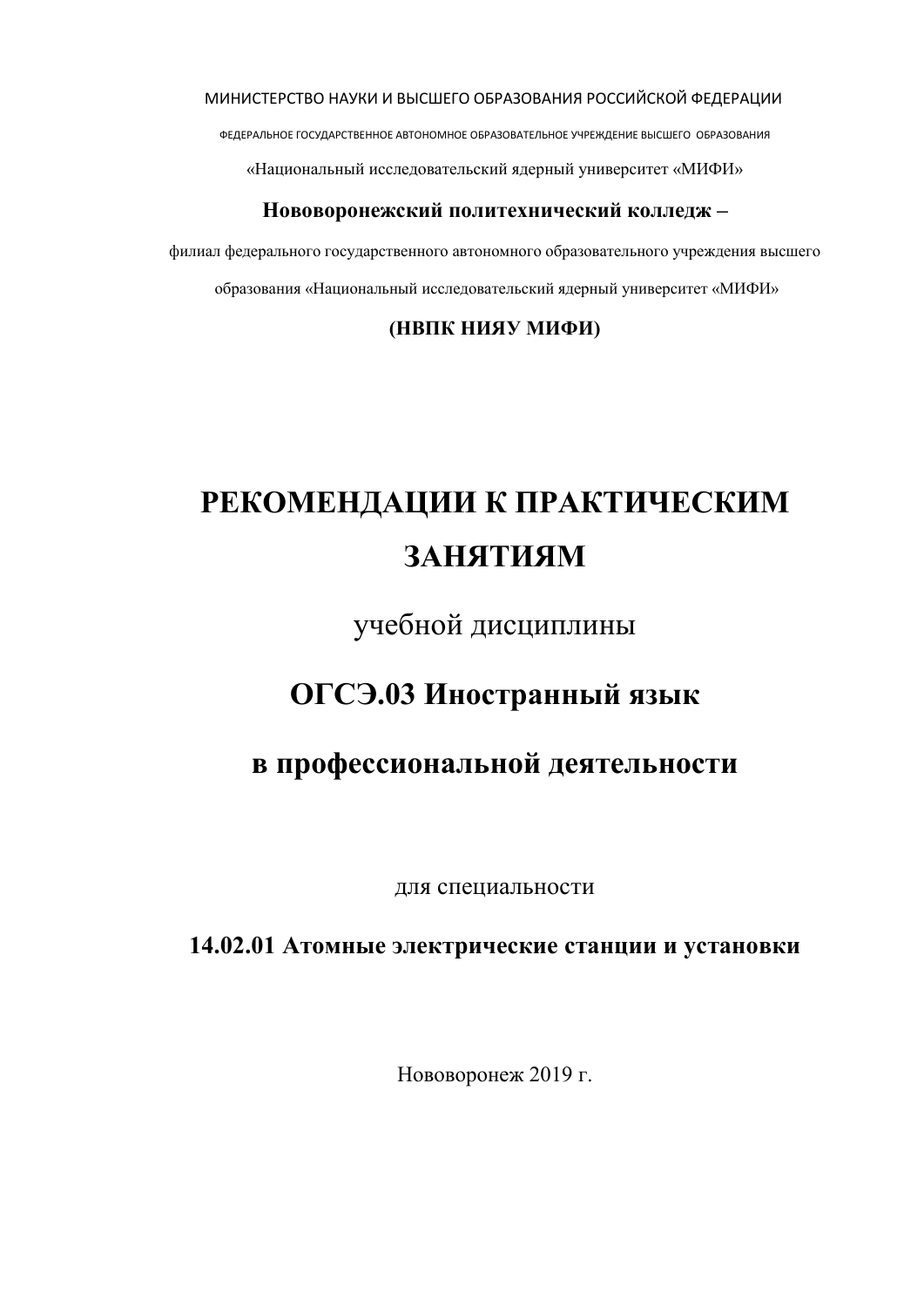МИНИСТЕРСТВО НАУКИ И ВЫСШЕГО ОБРАЗОВАНИЯ РОССИЙСКОЙ ФЕДЕРАЦИИ

ФЕДЕРАЛЬНОЕ ГОСУДАРСТВЕННОЕ АВТОНОМНОЕ ОБРАЗОВАТЕЛЬНОЕ УЧРЕЖДЕНИЕ ВЫСШЕГО ОБРАЗОВАНИЯ

«Национальный исследовательский ядерный университет «МИФИ»

#### **Нововоронежский политехнический колледж –**

филиал федерального государственного автономного образовательного учреждения высшего образования «Национальный исследовательский ядерный университет «МИФИ»

**(НВПК НИЯУ МИФИ)**

# **РЕКОМЕНДАЦИИ К ПРАКТИЧЕСКИМ ЗАНЯТИЯМ**

учебной дисциплины

# **ОГСЭ.03 Иностранный язык**

# **в профессиональной деятельности**

для специальности

# **14.02.01 Атомные электрические станции и установки**

Нововоронеж 2019 г.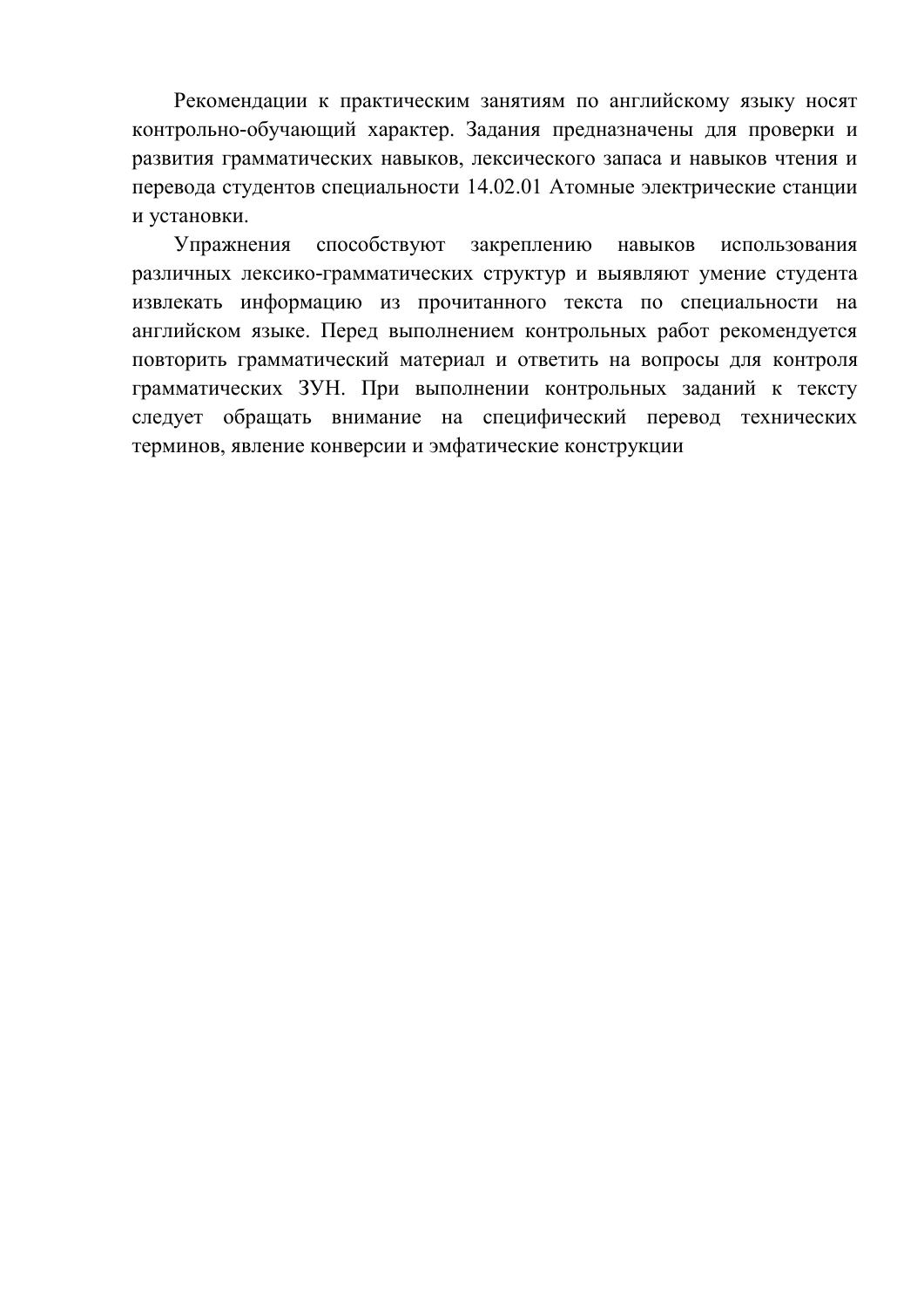Рекомендации к практическим занятиям по английскому языку носят контрольно-обучающий характер. Задания предназначены для проверки и развития грамматических навыков, лексического запаса и навыков чтения и перевода студентов специальности 14.02.01 Атомные электрические станции и установки.

Упражнения способствуют закреплению навыков использования различных лексико-грамматических структур и выявляют умение студента извлекать информацию из прочитанного текста по специальности на английском языке. Перед выполнением контрольных работ рекомендуется повторить грамматический материал и ответить на вопросы для контроля грамматических ЗУН. При выполнении контрольных заданий к тексту следует обращать внимание на специфический перевод технических терминов, явление конверсии и эмфатические конструкции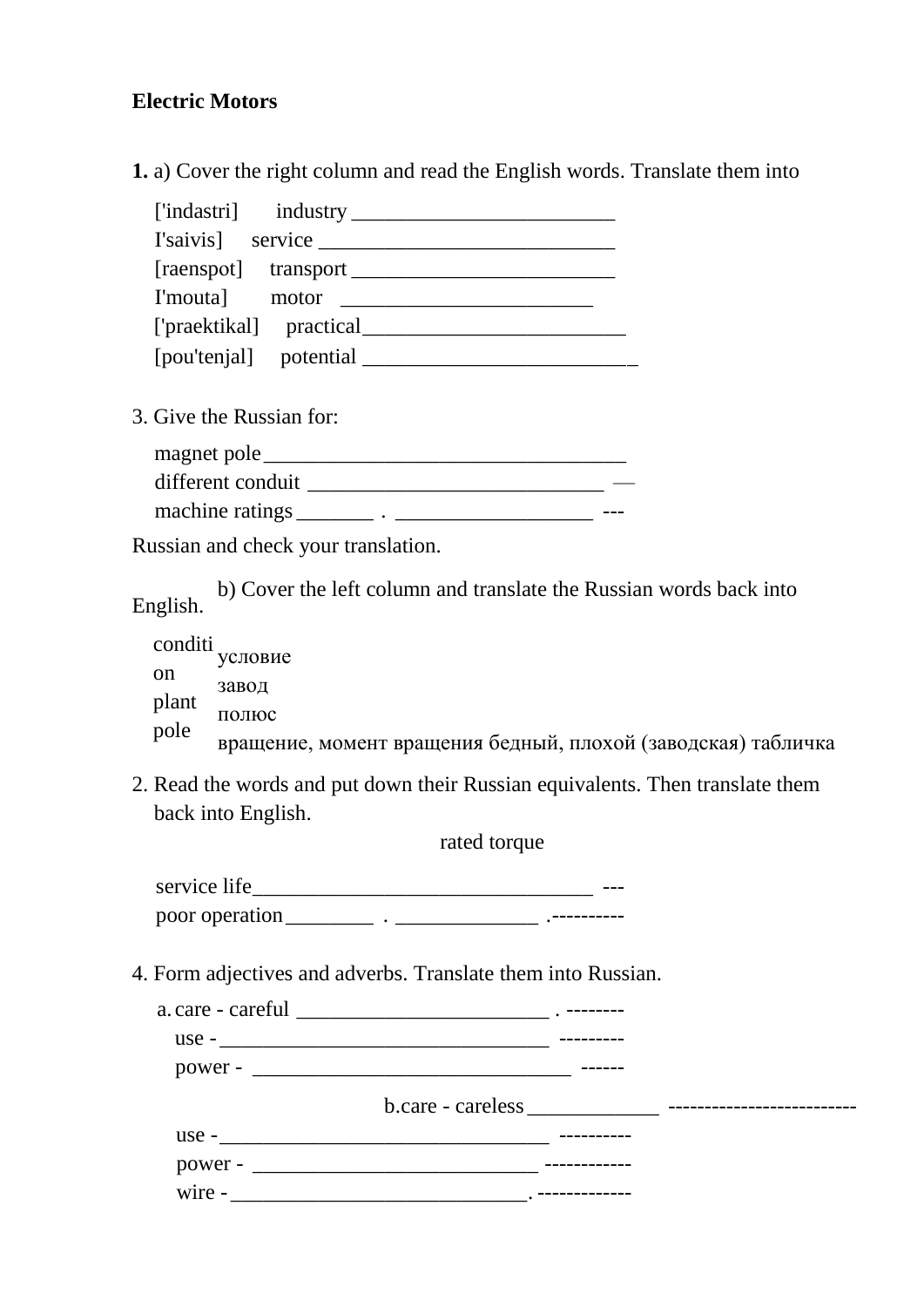# **Electric Motors**

**1.** a) Cover the right column and read the English words. Translate them into

| 3. Give the Russian for: |  |
|--------------------------|--|
| magnet pole              |  |
| different conduit        |  |

machine ratings \_\_\_\_\_\_\_\_ . \_\_\_\_\_\_\_\_\_\_\_\_\_\_\_\_\_\_\_\_\_\_ ---

Russian and check your translation.

b) Cover the left column and translate the Russian words back into English.

| conditi | условие                                                       |
|---------|---------------------------------------------------------------|
| on      | завод                                                         |
| plant   | полюс                                                         |
| pole    | вращение, момент вращения бедный, плохой (заводская) табличка |

2. Read the words and put down their Russian equivalents. Then translate them back into English.

rated torque

service life\_\_\_\_\_\_\_\_\_\_\_\_\_\_\_\_\_\_\_\_\_\_\_\_\_\_\_\_\_\_\_ -- poor operation\_\_\_\_\_\_\_\_ . \_\_\_\_\_\_\_\_\_\_\_\_\_ .----------

4. Form adjectives and adverbs. Translate them into Russian.

|          | $use -$                                  |  |
|----------|------------------------------------------|--|
|          |                                          |  |
|          | $b. care - careless _______$ ----------- |  |
|          | $\text{use}$ -                           |  |
|          |                                          |  |
| $wire -$ |                                          |  |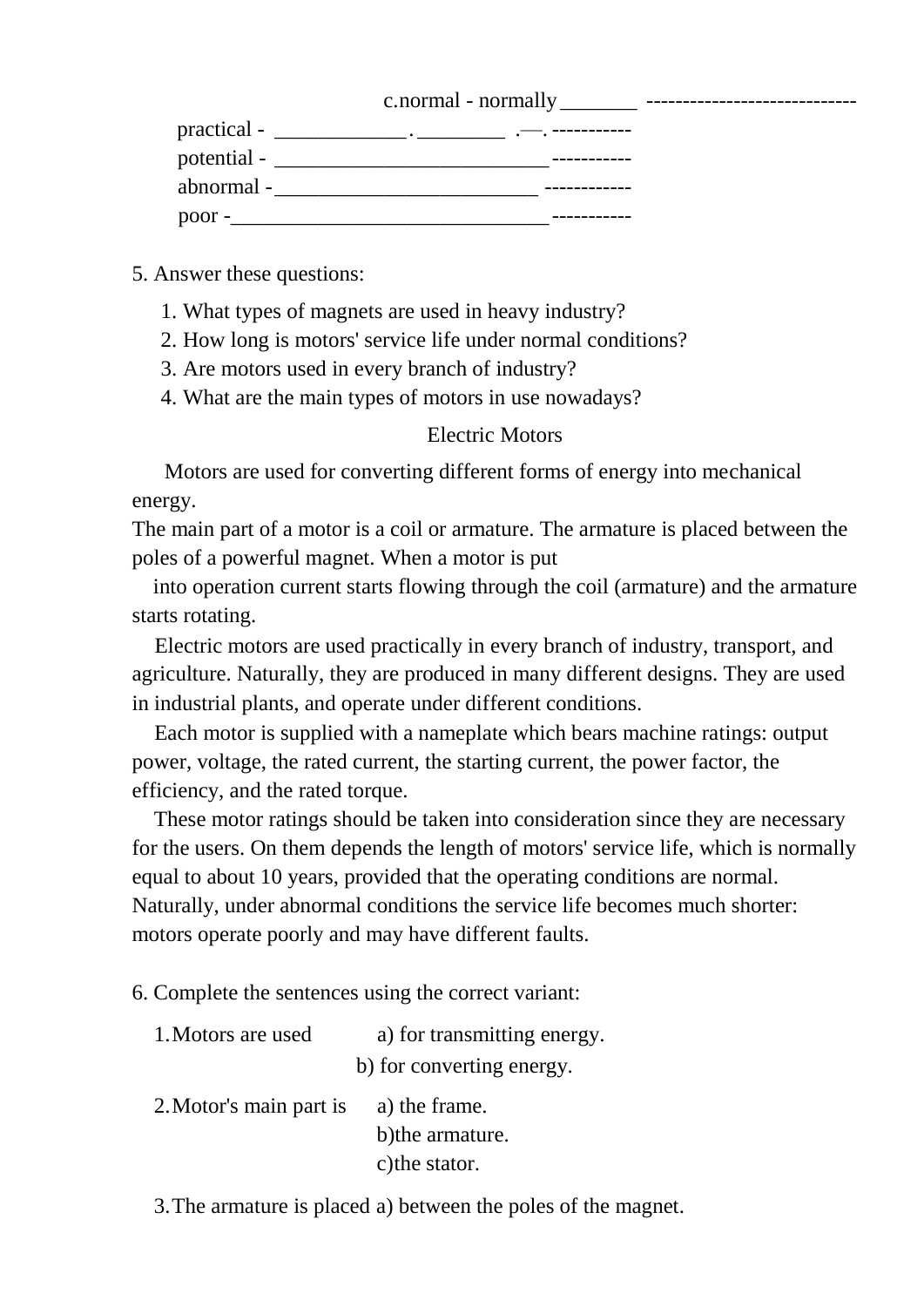| c.normal<br>– normally | ----------------------------- |
|------------------------|-------------------------------|
|------------------------|-------------------------------|

| practical - |  |  |
|-------------|--|--|
| potential - |  |  |
| abnormal-   |  |  |
| poor -      |  |  |

#### 5. Answer these questions:

- 1. What types of magnets are used in heavy industry?
- 2. How long is motors' service life under normal conditions?
- 3. Are motors used in every branch of industry?
- 4. What are the main types of motors in use nowadays?

#### Electric Motors

Motors are used for converting different forms of energy into mechanical energy.

The main part of a motor is a coil or armature. The armature is placed between the poles of a powerful magnet. When a motor is put

into operation current starts flowing through the coil (armature) and the armature starts rotating.

Electric motors are used practically in every branch of industry, transport, and agriculture. Naturally, they are produced in many different designs. They are used in industrial plants, and operate under different conditions.

Each motor is supplied with a nameplate which bears machine ratings: output power, voltage, the rated current, the starting current, the power factor, the efficiency, and the rated torque.

These motor ratings should be taken into consideration since they are necessary for the users. On them depends the length of motors' service life, which is normally equal to about 10 years, provided that the operating conditions are normal. Naturally, under abnormal conditions the service life becomes much shorter: motors operate poorly and may have different faults.

6. Complete the sentences using the correct variant:

| 1. Motors are used      | a) for transmitting energy. |
|-------------------------|-----------------------------|
|                         | b) for converting energy.   |
| 2. Motor's main part is | a) the frame.               |
|                         | b) the armature.            |
|                         | c) the stator.              |

3.The armature is placed a) between the poles of the magnet.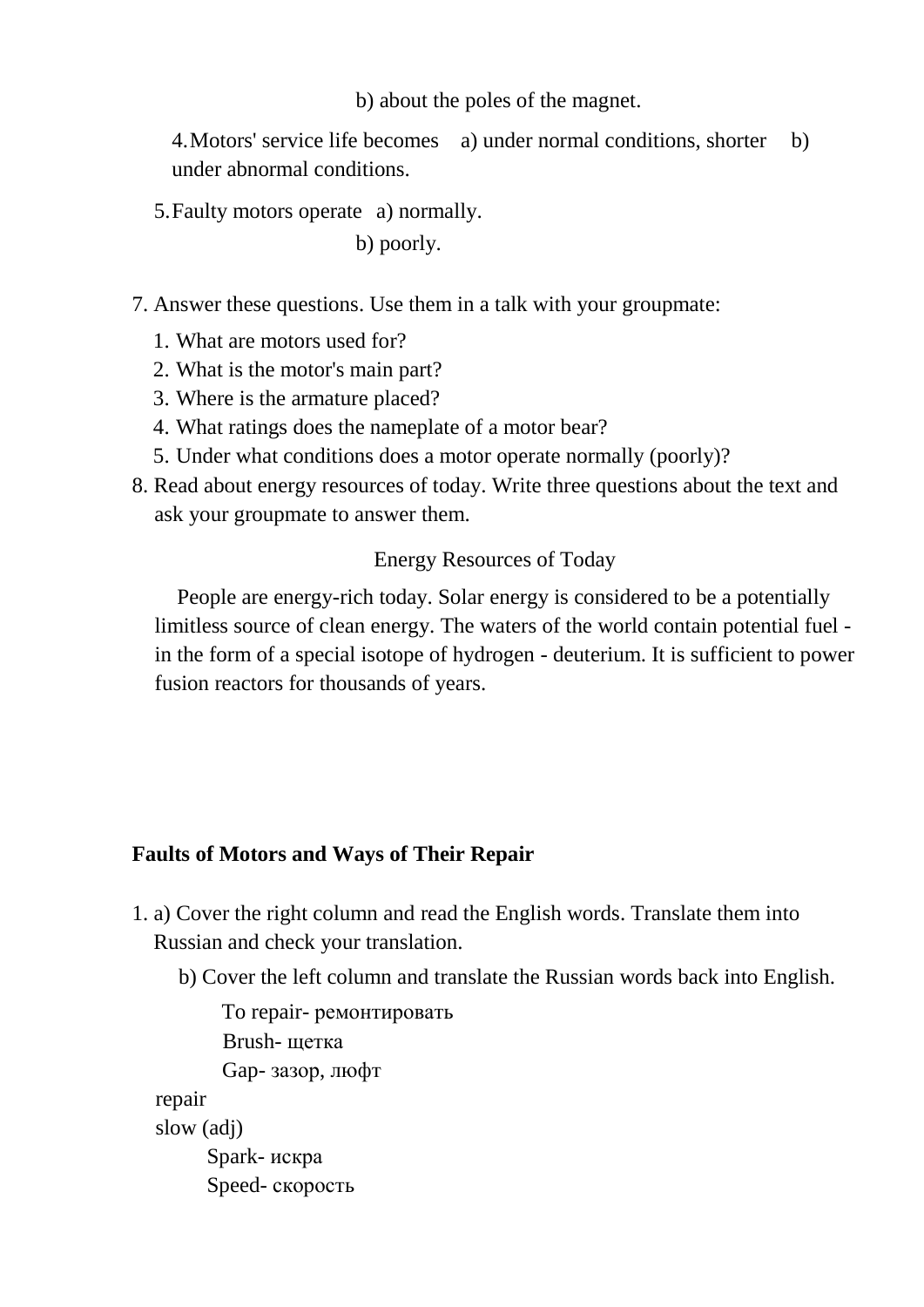b) about the poles of the magnet.

4.Motors' service life becomes a) under normal conditions, shorter b) under abnormal conditions.

5.Faulty motors operate a) normally.

b) poorly.

7. Answer these questions. Use them in a talk with your groupmate:

- 1. What are motors used for?
- 2. What is the motor's main part?
- 3. Where is the armature placed?
- 4. What ratings does the nameplate of a motor bear?
- 5. Under what conditions does a motor operate normally (poorly)?
- 8. Read about energy resources of today. Write three questions about the text and ask your groupmate to answer them.

## Energy Resources of Today

People are energy-rich today. Solar energy is considered to be a potentially limitless source of clean energy. The waters of the world contain potential fuel in the form of a special isotope of hydrogen - deuterium. It is sufficient to power fusion reactors for thousands of years.

## **Faults of Motors and Ways of Their Repair**

- 1. a) Cover the right column and read the English words. Translate them into Russian and check your translation.
	- b) Cover the left column and translate the Russian words back into English.

To repair- ремонтировать Brush- щетка Gap- зазор, люфт repair slow (adj) Spark- искра Speed- скорость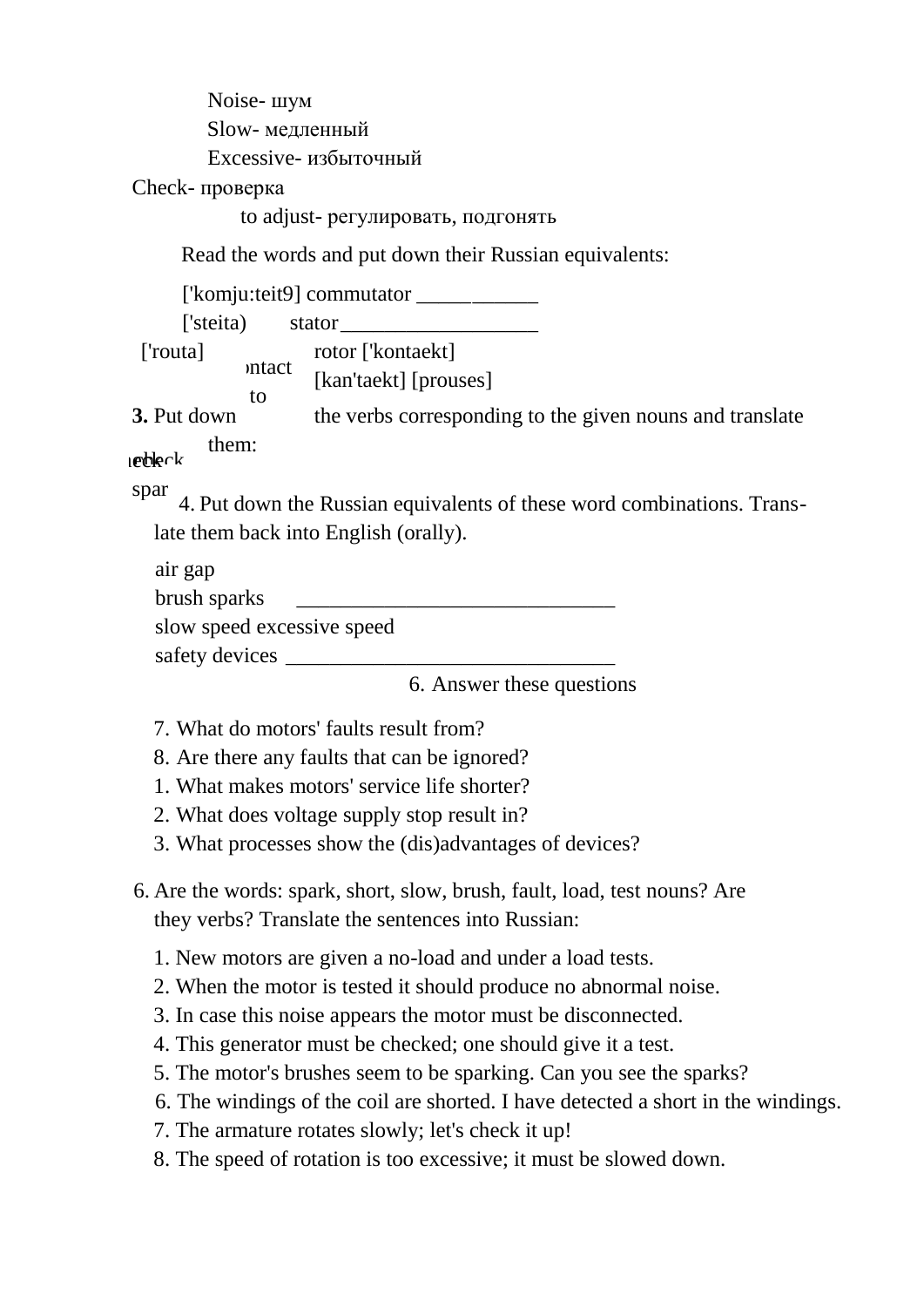Noise- шум Slow- медленный Excessive- избыточный Check- проверка to adjust- регулировать, подгонять Read the words and put down their Russian equivalents: ['komju:teit9] commutator \_\_\_\_\_\_\_\_\_\_\_ ['steita) stator\_\_\_\_\_\_\_\_\_\_\_\_\_\_\_\_\_\_ ['routa] rotor ['kontaekt] [kan'taekt] [prouses] **3.** Put down the verbs corresponding to the given nouns and translate them: 4. Put down the Russian equivalents of these word combinations. Translate them back into English (orally). air gap brush sparks \_\_\_\_\_\_\_\_\_\_\_\_\_\_\_\_\_\_\_\_\_\_\_\_\_\_\_\_\_ slow speed excessive speed safety devices 6. Answer these questions 7. What do motors' faults result from? 8. Are there any faults that can be ignored? 1. What makes motors' service life shorter? 2. What does voltage supply stop result in? 3. What processes show the (dis)advantages of devices? 6. Are the words: spark, short, slow, brush, fault, load, test nouns? Are they verbs? Translate the sentences into Russian: 1. New motors are given a no-load and under a load tests. 2. When the motor is tested it should produce no abnormal noise. 3. In case this noise appears the motor must be disconnected. mtact to  $)$  $t$ echle $ck$ spar brus

- 4. This generator must be checked; one should give it a test.
- 5. The motor's brushes seem to be sparking. Can you see the sparks?
- 6. The windings of the coil are shorted. I have detected a short in the windings.
- 7. The armature rotates slowly; let's check it up!
- 8. The speed of rotation is too excessive; it must be slowed down.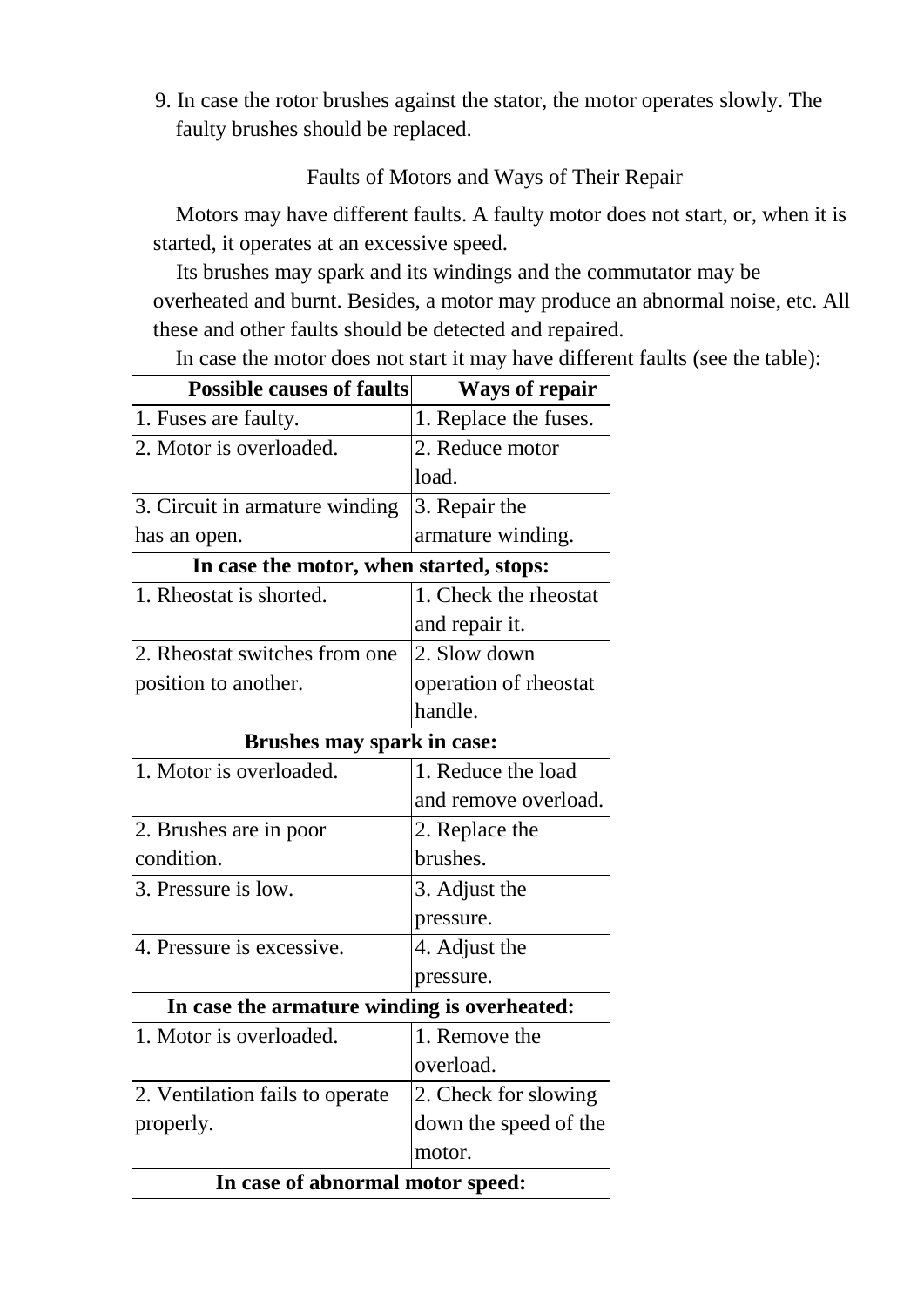9. In case the rotor brushes against the stator, the motor operates slowly. The faulty brushes should be replaced.

## Faults of Motors and Ways of Their Repair

Motors may have different faults. A faulty motor does not start, or, when it is started, it operates at an excessive speed.

Its brushes may spark and its windings and the commutator may be overheated and burnt. Besides, a motor may produce an abnormal noise, etc. All these and other faults should be detected and repaired.

In case the motor does not start it may have different faults (see the table):

| <b>Possible causes of faults</b>            | <b>Ways of repair</b> |  |
|---------------------------------------------|-----------------------|--|
| 1. Fuses are faulty.                        | 1. Replace the fuses. |  |
| 2. Motor is overloaded.                     | 2. Reduce motor       |  |
|                                             | load.                 |  |
| 3. Circuit in armature winding              | 3. Repair the         |  |
| has an open.                                | armature winding.     |  |
| In case the motor, when started, stops:     |                       |  |
| 1. Rheostat is shorted.                     | 1. Check the rheostat |  |
|                                             | and repair it.        |  |
| 2. Rheostat switches from one               | 2. Slow down          |  |
| position to another.                        | operation of rheostat |  |
|                                             | handle.               |  |
| Brushes may spark in case:                  |                       |  |
| 1. Motor is overloaded.                     | 1. Reduce the load    |  |
|                                             | and remove overload.  |  |
| 2. Brushes are in poor                      | 2. Replace the        |  |
| condition.                                  | brushes.              |  |
| 3. Pressure is low.                         | 3. Adjust the         |  |
|                                             | pressure.             |  |
| 4. Pressure is excessive.                   | 4. Adjust the         |  |
|                                             | pressure.             |  |
| In case the armature winding is overheated: |                       |  |
| 1. Motor is overloaded.                     | 1. Remove the         |  |
|                                             | overload.             |  |
| 2. Ventilation fails to operate             | 2. Check for slowing  |  |
| properly.                                   | down the speed of the |  |
|                                             | motor.                |  |
| In case of abnormal motor speed:            |                       |  |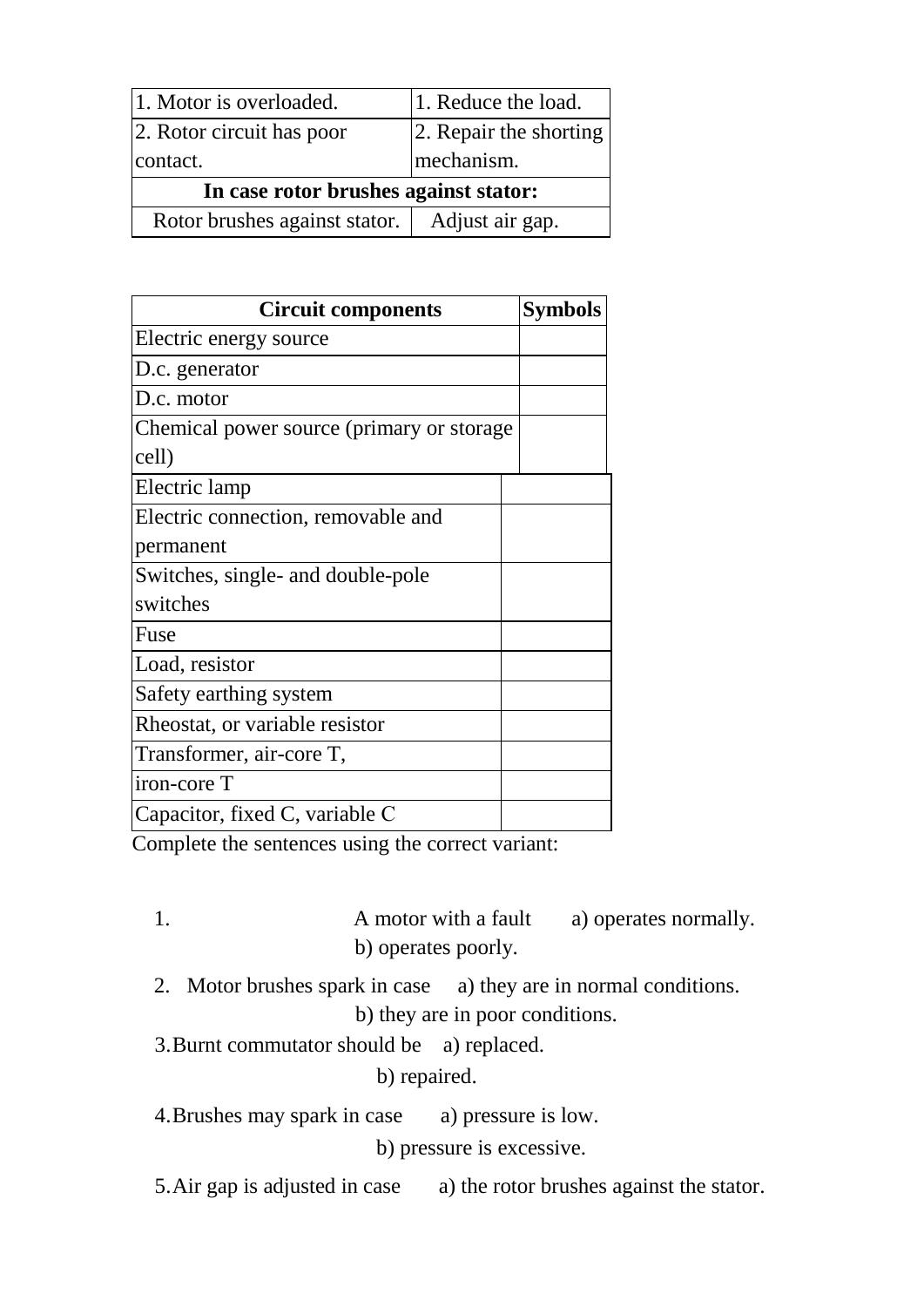| 1. Motor is overloaded.               | 1. Reduce the load.    |  |
|---------------------------------------|------------------------|--|
| 2. Rotor circuit has poor             | 2. Repair the shorting |  |
| contact.                              | mechanism.             |  |
| In case rotor brushes against stator: |                        |  |
| Rotor brushes against stator.         | Adjust air gap.        |  |

| <b>Circuit components</b>                  | <b>Symbols</b> |
|--------------------------------------------|----------------|
| Electric energy source                     |                |
| D.c. generator                             |                |
| D.c. motor                                 |                |
| Chemical power source (primary or storage) |                |
| cell)                                      |                |
| Electric lamp                              |                |
| Electric connection, removable and         |                |
| permanent                                  |                |
| Switches, single- and double-pole          |                |
| switches                                   |                |
| Fuse                                       |                |
| Load, resistor                             |                |
| Safety earthing system                     |                |
| Rheostat, or variable resistor             |                |
| Transformer, air-core T,                   |                |
| iron-core T                                |                |
| Capacitor, fixed C, variable C             |                |

Complete the sentences using the correct variant:

- 1. A motor with a fault a) operates normally. b) operates poorly.
- 2. Motor brushes spark in case a) they are in normal conditions. b) they are in poor conditions.
- 3.Burnt commutator should be a) replaced.

b) repaired.

4.Brushes may spark in case a) pressure is low.

b) pressure is excessive.

5.Air gap is adjusted in case a) the rotor brushes against the stator.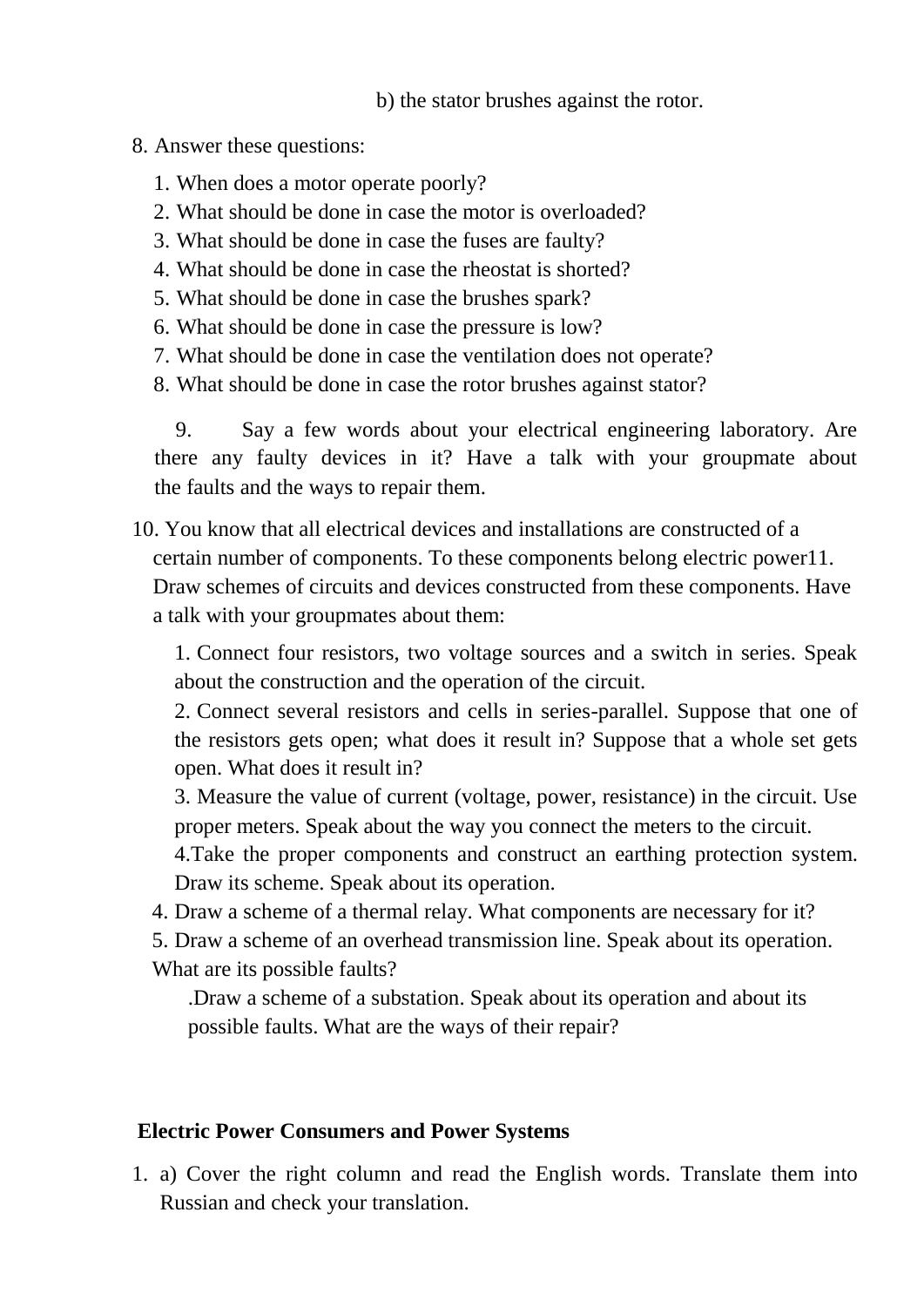b) the stator brushes against the rotor.

#### 8. Answer these questions:

- 1. When does a motor operate poorly?
- 2. What should be done in case the motor is overloaded?
- 3. What should be done in case the fuses are faulty?
- 4. What should be done in case the rheostat is shorted?
- 5. What should be done in case the brushes spark?
- 6. What should be done in case the pressure is low?
- 7. What should be done in case the ventilation does not operate?
- 8. What should be done in case the rotor brushes against stator?

9. Say a few words about your electrical engineering laboratory. Are there any faulty devices in it? Have a talk with your groupmate about the faults and the ways to repair them.

10. You know that all electrical devices and installations are constructed of a certain number of components. To these components belong electric power11. Draw schemes of circuits and devices constructed from these components. Have a talk with your groupmates about them:

1. Connect four resistors, two voltage sources and a switch in series. Speak about the construction and the operation of the circuit.

2. Connect several resistors and cells in series-parallel. Suppose that one of the resistors gets open; what does it result in? Suppose that a whole set gets open. What does it result in?

3. Measure the value of current (voltage, power, resistance) in the circuit. Use proper meters. Speak about the way you connect the meters to the circuit.

4.Take the proper components and construct an earthing protection system. Draw its scheme. Speak about its operation.

4. Draw a scheme of a thermal relay. What components are necessary for it?

5. Draw a scheme of an overhead transmission line. Speak about its operation. What are its possible faults?

.Draw a scheme of a substation. Speak about its operation and about its possible faults. What are the ways of their repair?

# **Electric Power Consumers and Power Systems**

1. a) Cover the right column and read the English words. Translate them into Russian and check your translation.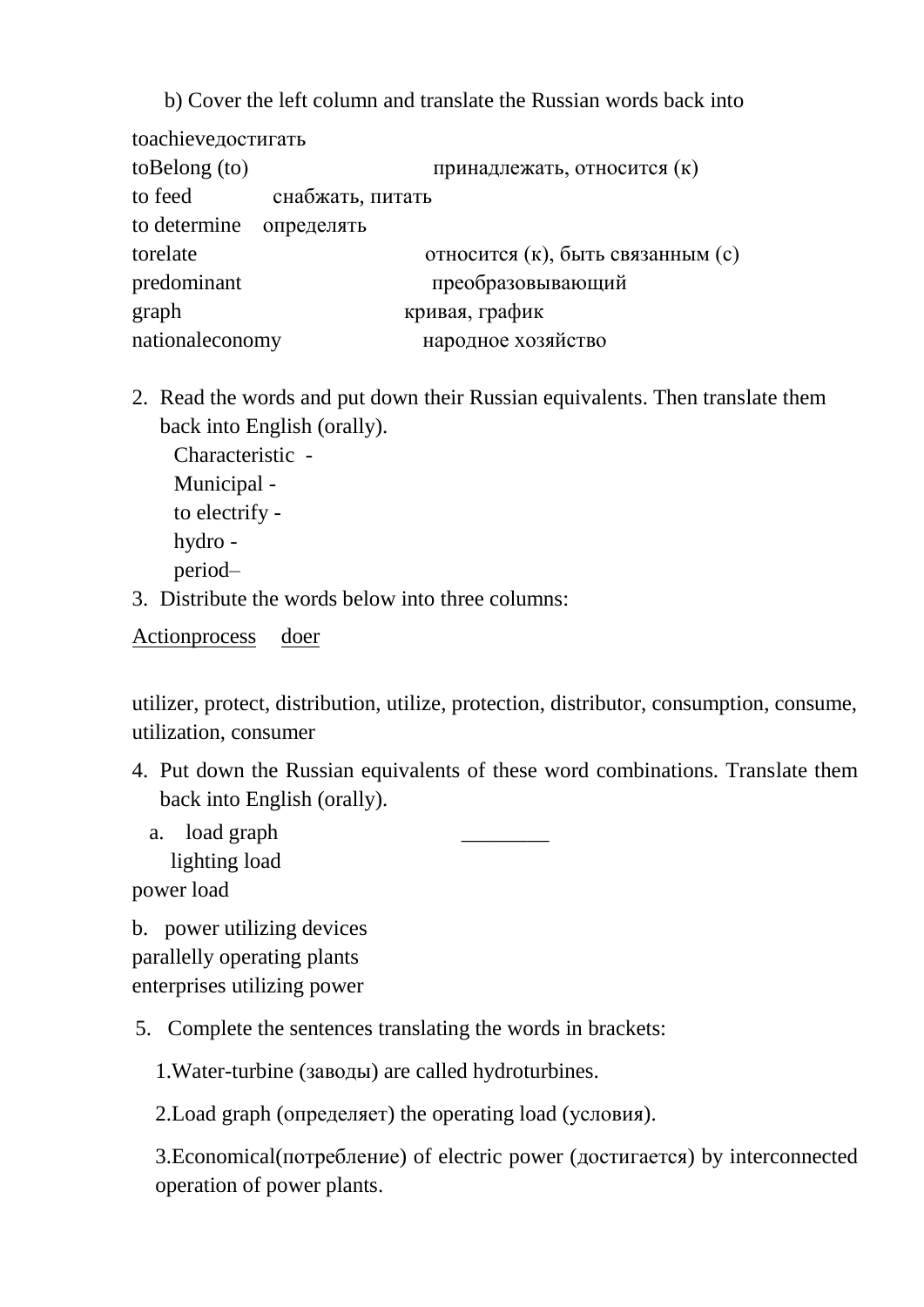b) Cover the left column and translate the Russian words back into toachieveдостигать toBelong (to) принадлежать, относится (к) to feed снабжать, питать to determine определять torelate относится (к), быть связанным (c) predominant преобразовывающий graph кривая, график nationaleconomy народное хозяйство

2. Read the words and put down their Russian equivalents. Then translate them back into English (orally).

Characteristic - Municipal to electrify hydro period–

3. Distribute the words below into three columns:

Actionprocess doer

utilizer, protect, distribution, utilize, protection, distributor, consumption, consume, utilization, consumer

- 4. Put down the Russian equivalents of these word combinations. Translate them back into English (orally).
	- a. load graph lighting load

power load

b. power utilizing devices parallelly operating plants enterprises utilizing power

5. Complete the sentences translating the words in brackets:

1.Water-turbine (заводы) are called hydroturbines.

2.Load graph (определяет) the operating load (условия).

3.Economical(потребление) of electric power (достигается) by interconnected operation of power plants.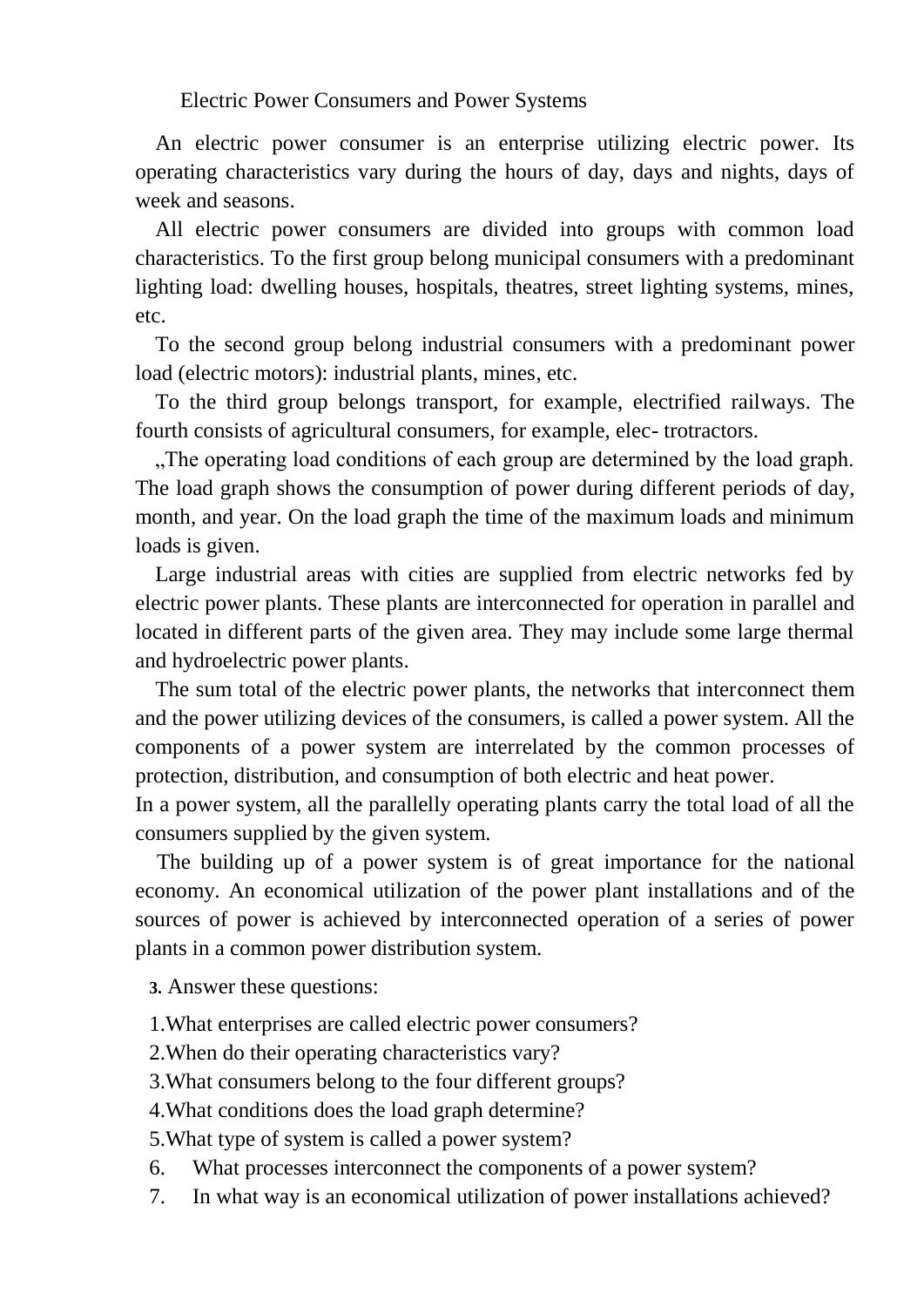Electric Power Consumers and Power Systems

An electric power consumer is an enterprise utilizing electric power. Its operating characteristics vary during the hours of day, days and nights, days of week and seasons.

All electric power consumers are divided into groups with common load characteristics. To the first group belong municipal consumers with a predominant lighting load: dwelling houses, hospitals, theatres, street lighting systems, mines, etc.

To the second group belong industrial consumers with a predominant power load (electric motors): industrial plants, mines, etc.

To the third group belongs transport, for example, electrified railways. The fourth consists of agricultural consumers, for example, elec- trotractors.

..The operating load conditions of each group are determined by the load graph. The load graph shows the consumption of power during different periods of day, month, and year. On the load graph the time of the maximum loads and minimum loads is given.

Large industrial areas with cities are supplied from electric networks fed by electric power plants. These plants are interconnected for operation in parallel and located in different parts of the given area. They may include some large thermal and hydroelectric power plants.

The sum total of the electric power plants, the networks that interconnect them and the power utilizing devices of the consumers, is called a power system. All the components of a power system are interrelated by the common processes of protection, distribution, and consumption of both electric and heat power.

In a power system, all the parallelly operating plants carry the total load of all the consumers supplied by the given system.

 The building up of a power system is of great importance for the national economy. An economical utilization of the power plant installations and of the sources of power is achieved by interconnected operation of a series of power plants in a common power distribution system.

**3.** Answer these questions:

- 1.What enterprises are called electric power consumers?
- 2.When do their operating characteristics vary?
- 3.What consumers belong to the four different groups?
- 4.What conditions does the load graph determine?

5.What type of system is called a power system?

- 6. What processes interconnect the components of a power system?
- 7. In what way is an economical utilization of power installations achieved?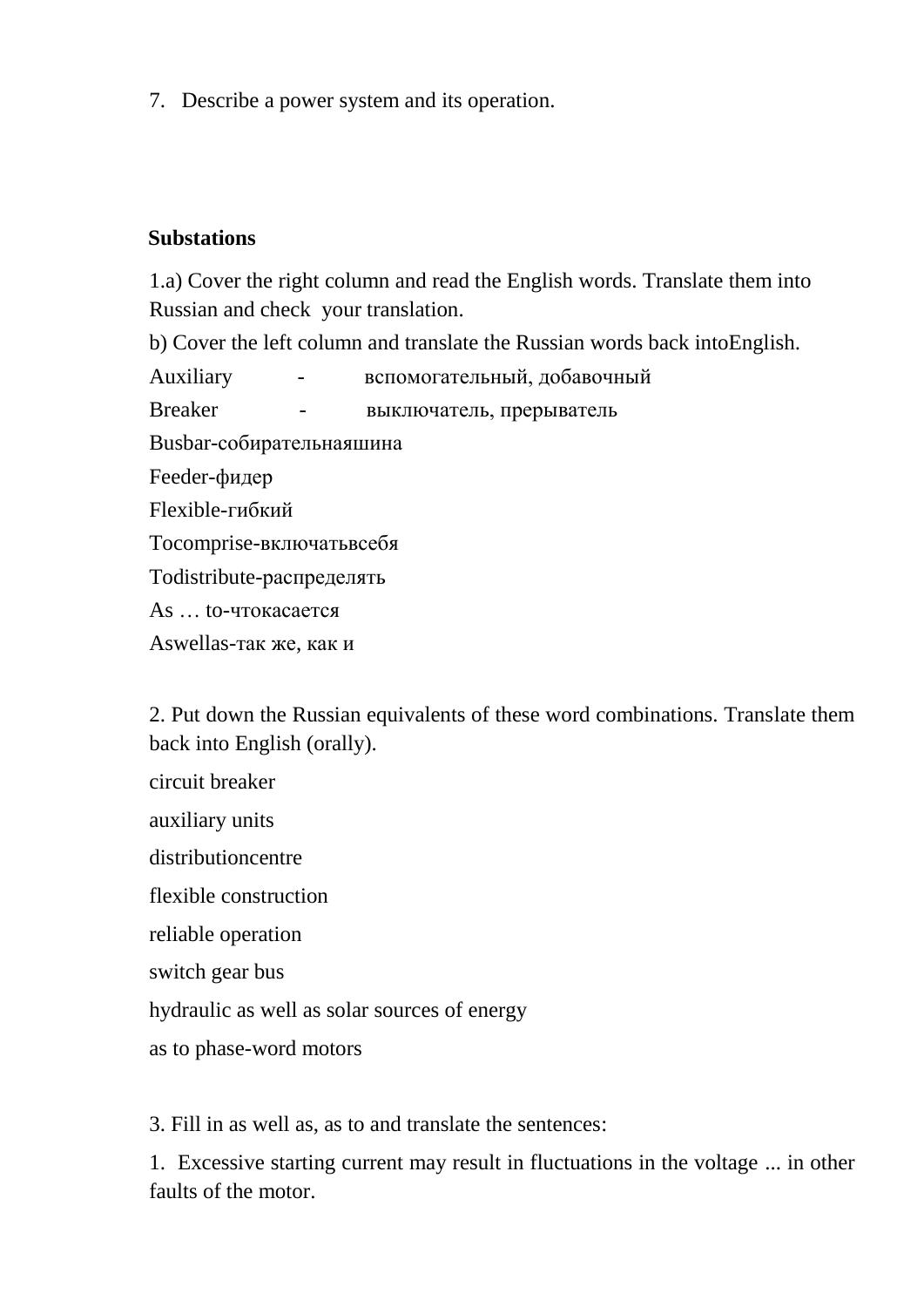7. Describe a power system and its operation.

#### **Substations**

1.a) Cover the right column and read the English words. Translate them into Russian and check your translation.

b) Cover the left column and translate the Russian words back intoEnglish.

Auxiliary - вспомогательный, добавочный

Breaker - выключатель, прерыватель

Busbar-собирательнаяшина

Feeder-фидер

Flexible-гибкий

Tocomprise-включатьвсебя

Todistribute-распределять

As … to-чтокасается

Aswellas-так же, как и

2. Put down the Russian equivalents of these word combinations. Translate them back into English (orally).

circuit breaker

auxiliary units

distributioncentre

flexible construction

reliable operation

switch gear bus

hydraulic as well as solar sources of energy

as to phase-word motors

3. Fill in as well as, as to and translate the sentences:

1. Excessive starting current may result in fluctuations in the voltage ... in other faults of the motor.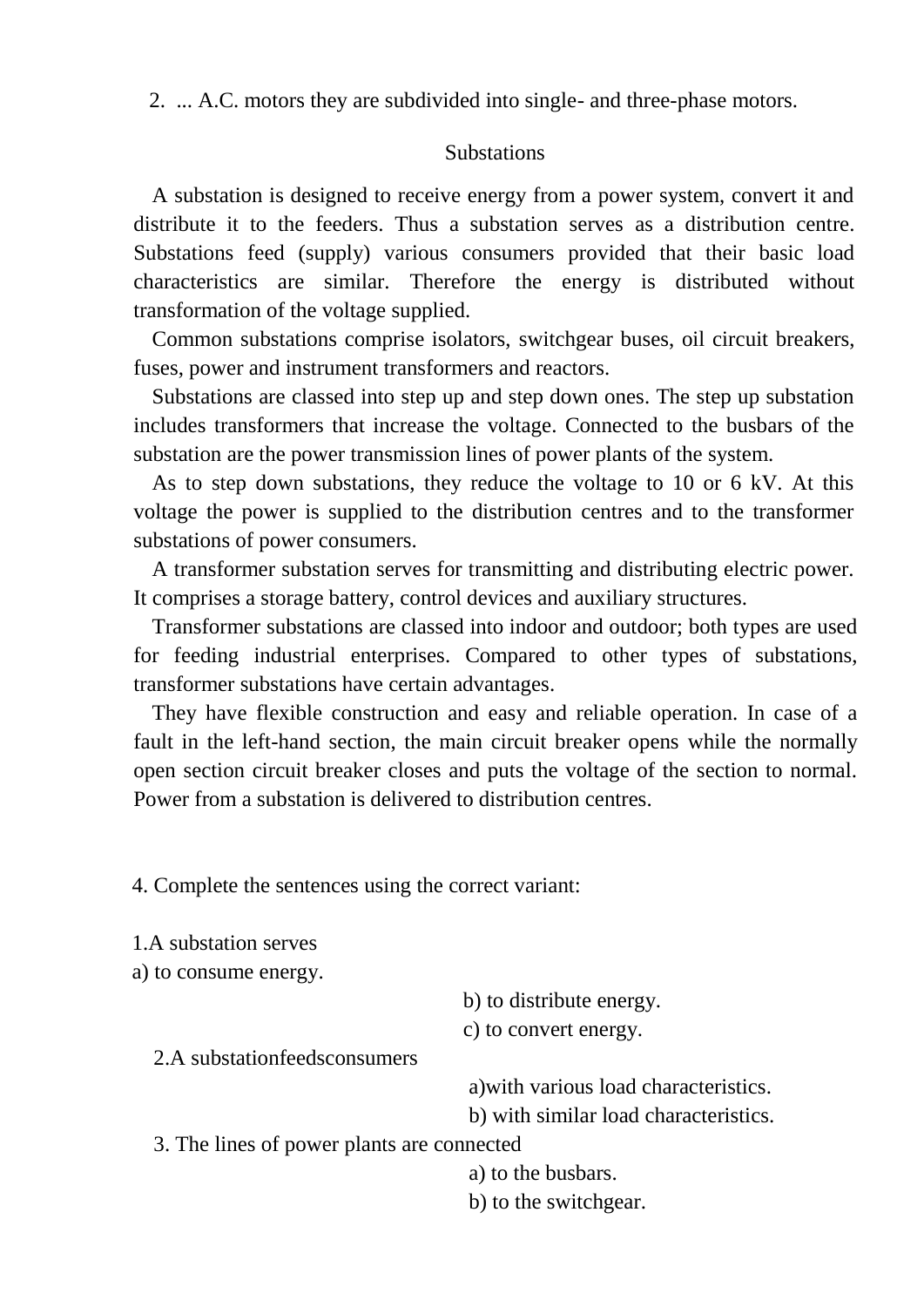2. ... A.C. motors they are subdivided into single- and three-phase motors.

#### **Substations**

A substation is designed to receive energy from a power system, convert it and distribute it to the feeders. Thus a substation serves as a distribution centre. Substations feed (supply) various consumers provided that their basic load characteristics are similar. Therefore the energy is distributed without transformation of the voltage supplied.

Common substations comprise isolators, switchgear buses, oil circuit breakers, fuses, power and instrument transformers and reactors.

Substations are classed into step up and step down ones. The step up substation includes transformers that increase the voltage. Connected to the busbars of the substation are the power transmission lines of power plants of the system.

As to step down substations, they reduce the voltage to 10 or 6 kV. At this voltage the power is supplied to the distribution centres and to the transformer substations of power consumers.

A transformer substation serves for transmitting and distributing electric power. It comprises a storage battery, control devices and auxiliary structures.

Transformer substations are classed into indoor and outdoor; both types are used for feeding industrial enterprises. Compared to other types of substations, transformer substations have certain advantages.

They have flexible construction and easy and reliable operation. In case of a fault in the left-hand section, the main circuit breaker opens while the normally open section circuit breaker closes and puts the voltage of the section to normal. Power from a substation is delivered to distribution centres.

4. Complete the sentences using the correct variant:

1.A substation serves

a) to consume energy.

b) to distribute energy.

c) to convert energy.

2.A substationfeedsconsumers

a)with various load characteristics.

b) with similar load characteristics.

3. The lines of power plants are connected

a) to the busbars.

b) to the switchgear.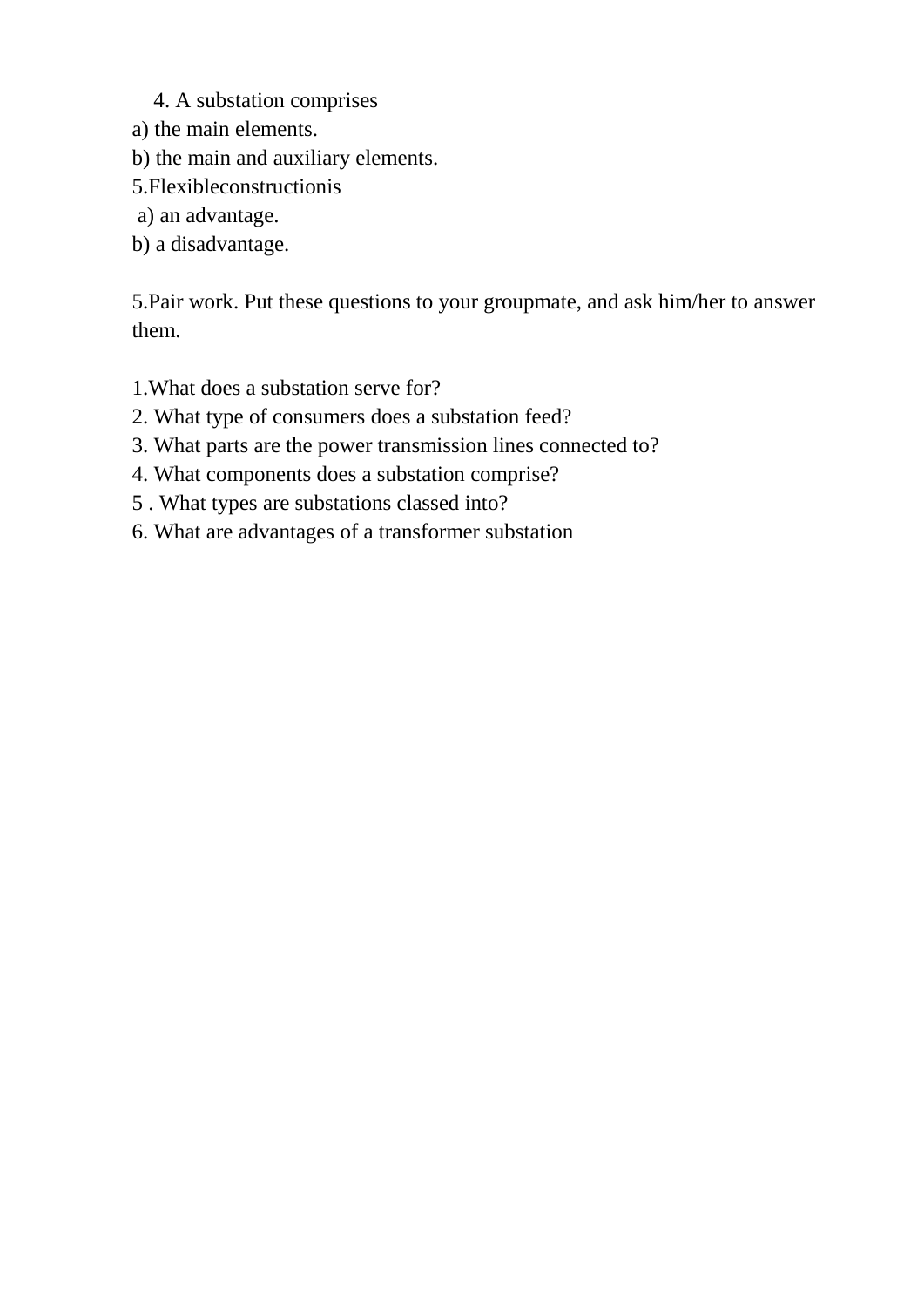#### 4. A substation comprises

- a) the main elements.
- b) the main and auxiliary elements.
- 5.Flexibleconstructionis
- a) an advantage.
- b) a disadvantage.

5.Pair work. Put these questions to your groupmate, and ask him/her to answer them.

- 1.What does a substation serve for?
- 2. What type of consumers does a substation feed?
- 3. What parts are the power transmission lines connected to?
- 4. What components does a substation comprise?
- 5 . What types are substations classed into?
- 6. What are advantages of a transformer substation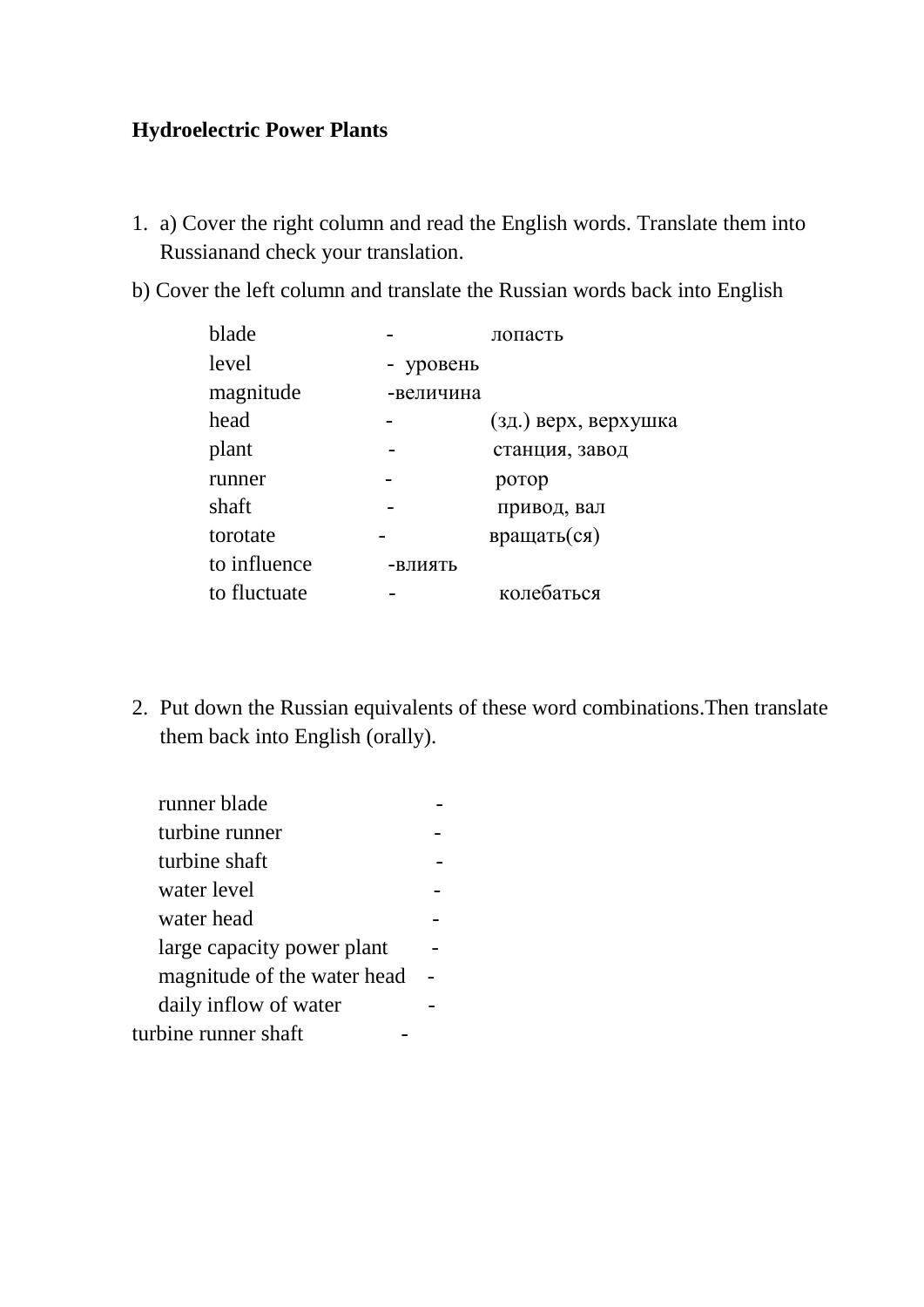#### **Hydroelectric Power Plants**

- 1. a) Cover the right column and read the English words. Translate them into Russianand check your translation.
- b) Cover the left column and translate the Russian words back into English

| blade        |           | лопасть              |
|--------------|-----------|----------------------|
| level        | - уровень |                      |
| magnitude    | -величина |                      |
| head         |           | (зд.) верх, верхушка |
| plant        |           | станция, завод       |
| runner       |           | ротор                |
| shaft        |           | привод, вал          |
| torotate     |           | вращать(ся)          |
| to influence | -ВЛИЯТЬ   |                      |
| to fluctuate |           | колебаться           |

2. Put down the Russian equivalents of these word combinations.Then translate them back into English (orally).

| runner blade                |  |
|-----------------------------|--|
| turbine runner              |  |
| turbine shaft               |  |
| water level                 |  |
| water head                  |  |
| large capacity power plant  |  |
| magnitude of the water head |  |
| daily inflow of water       |  |
| turbine runner shaft        |  |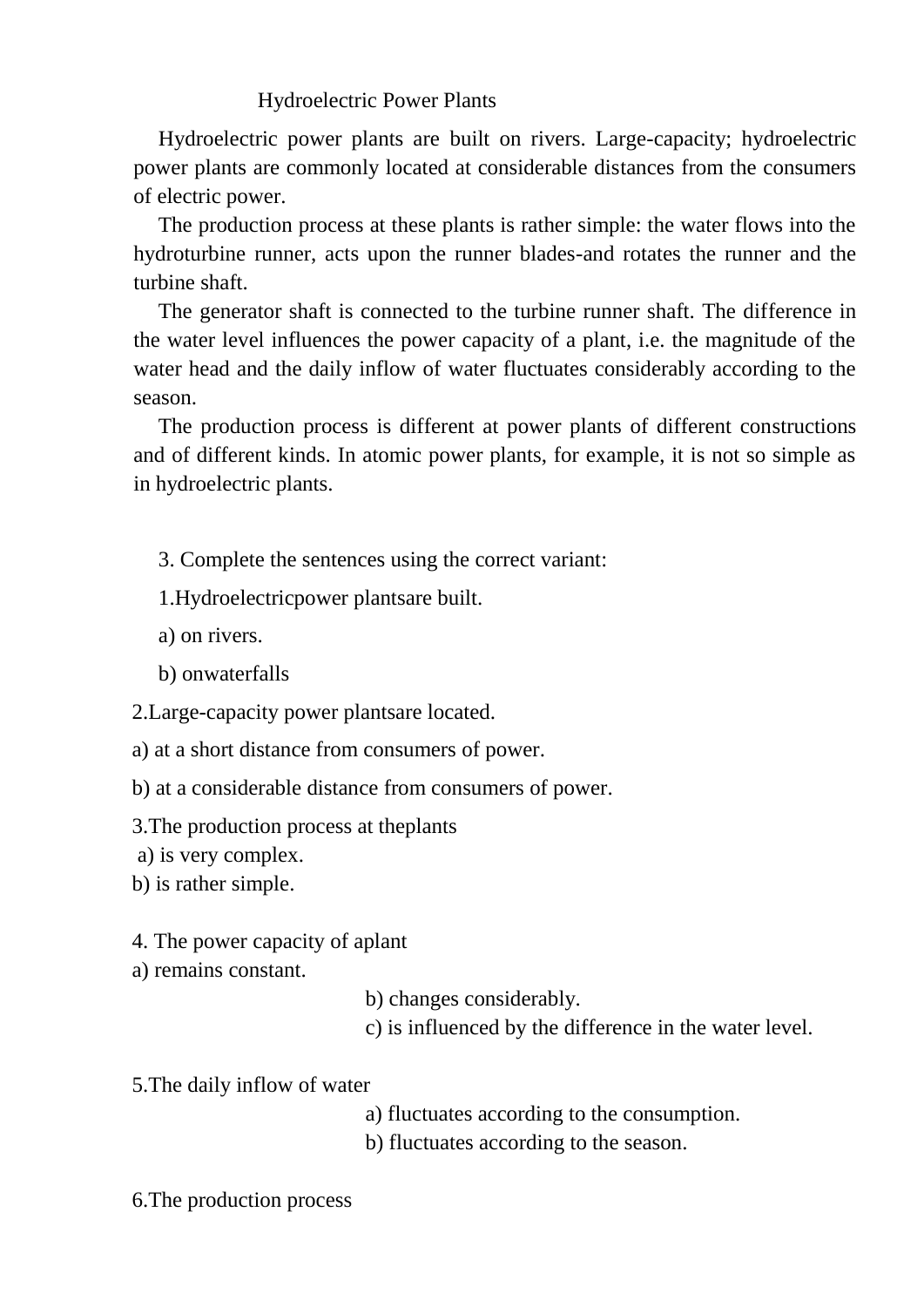#### Hydroelectric Power Plants

Hydroelectric power plants are built on rivers. Large-capacity; hydroelectric power plants are commonly located at considerable distances from the consumers of electric power.

The production process at these plants is rather simple: the water flows into the hydroturbine runner, acts upon the runner blades-and rotates the runner and the turbine shaft.

The generator shaft is connected to the turbine runner shaft. The difference in the water level influences the power capacity of a plant, i.e. the magnitude of the water head and the daily inflow of water fluctuates considerably according to the season.

The production process is different at power plants of different constructions and of different kinds. In atomic power plants, for example, it is not so simple as in hydroelectric plants.

3. Complete the sentences using the correct variant:

1.Hydroelectricpower plantsare built.

a) on rivers.

b) onwaterfalls

2.Large-capacity power plantsare located.

a) at a short distance from consumers of power.

b) at a considerable distance from consumers of power.

3.The production process at theplants

a) is very complex.

b) is rather simple.

4. The power capacity of aplant

a) remains constant.

b) changes considerably.

c) is influenced by the difference in the water level.

5.The daily inflow of water

- a) fluctuates according to the consumption.
- b) fluctuates according to the season.

6.The production process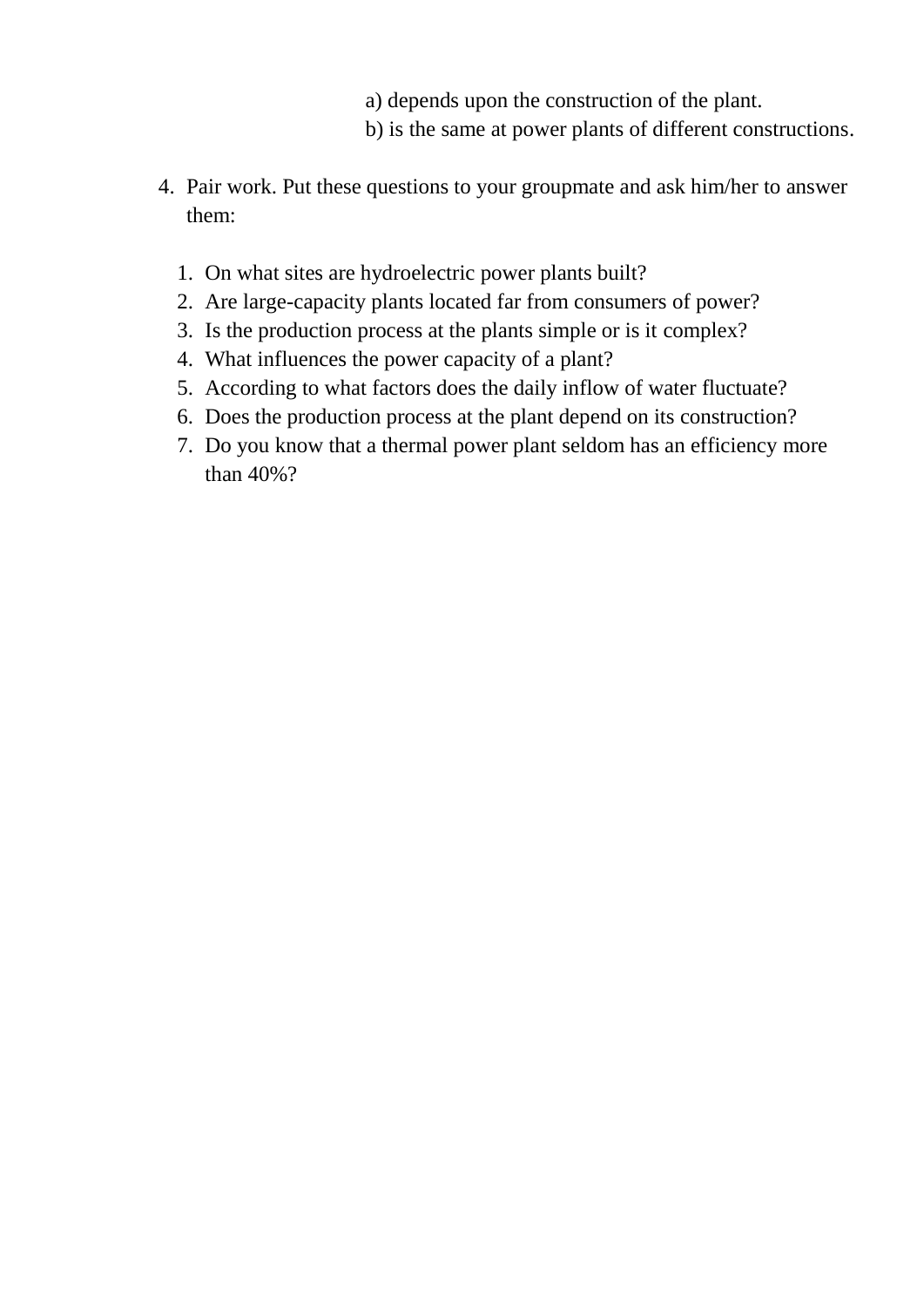- a) depends upon the construction of the plant.
- b) is the same at power plants of different constructions.
- 4. Pair work. Put these questions to your groupmate and ask him/her to answer them:
	- 1. On what sites are hydroelectric power plants built?
	- 2. Are large-capacity plants located far from consumers of power?
	- 3. Is the production process at the plants simple or is it complex?
	- 4. What influences the power capacity of a plant?
	- 5. According to what factors does the daily inflow of water fluctuate?
	- 6. Does the production process at the plant depend on its construction?
	- 7. Do you know that a thermal power plant seldom has an efficiency more than 40%?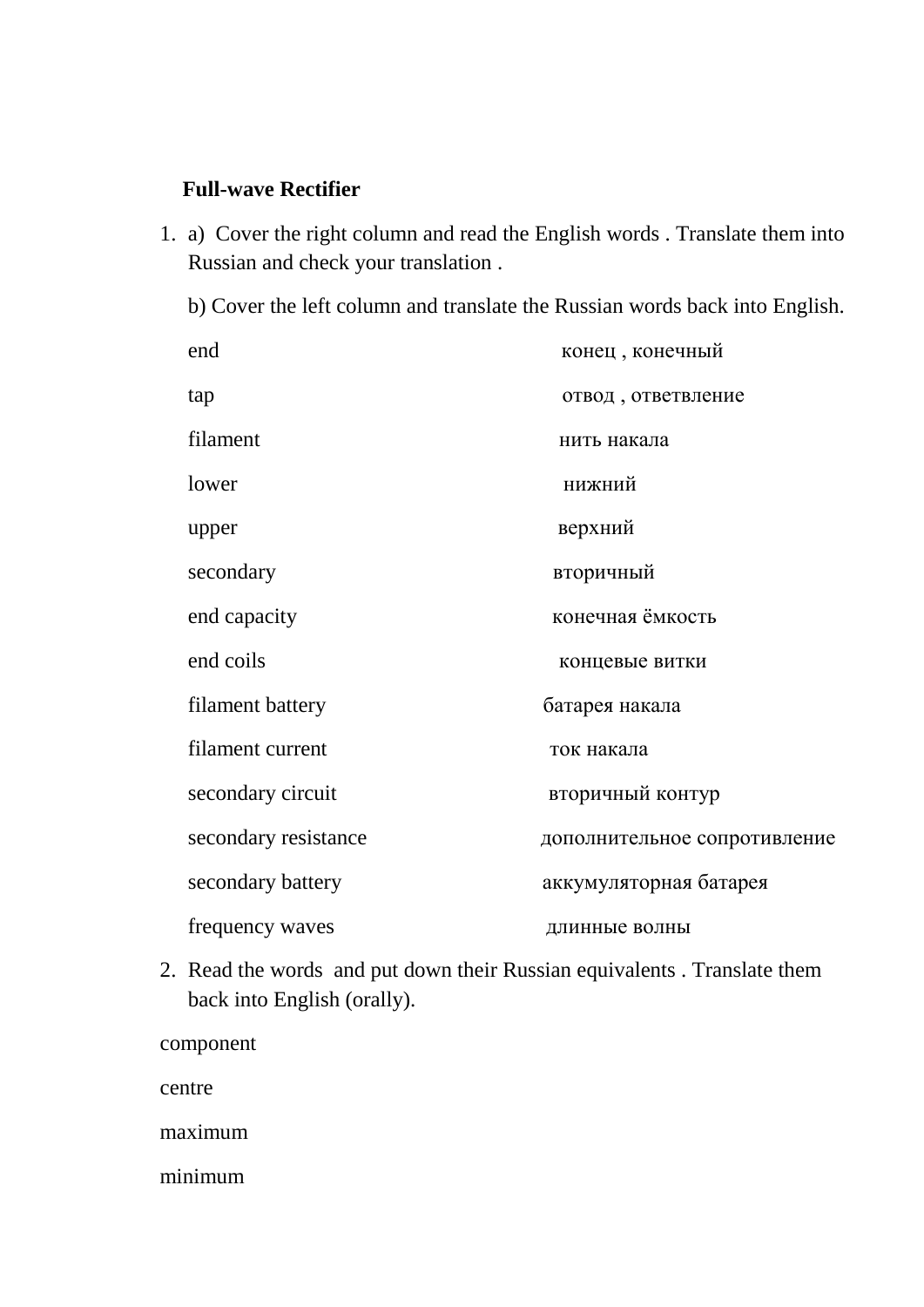## **Full-wave Rectifier**

1. a) Cover the right column and read the English words . Translate them into Russian and check your translation .

b) Cover the left column and translate the Russian words back into English.

| end                  | конец, конечный              |
|----------------------|------------------------------|
| tap                  | отвод, ответвление           |
| filament             | нить накала                  |
| lower                | нижний                       |
| upper                | верхний                      |
| secondary            | вторичный                    |
| end capacity         | конечная ёмкость             |
| end coils            | концевые витки               |
| filament battery     | батарея накала               |
| filament current     | ток накала                   |
| secondary circuit    | вторичный контур             |
| secondary resistance | дополнительное сопротивление |
| secondary battery    | аккумуляторная батарея       |
| frequency waves      | длинные волны                |

2. Read the words and put down their Russian equivalents . Translate them back into English (orally).

component

centre

maximum

minimum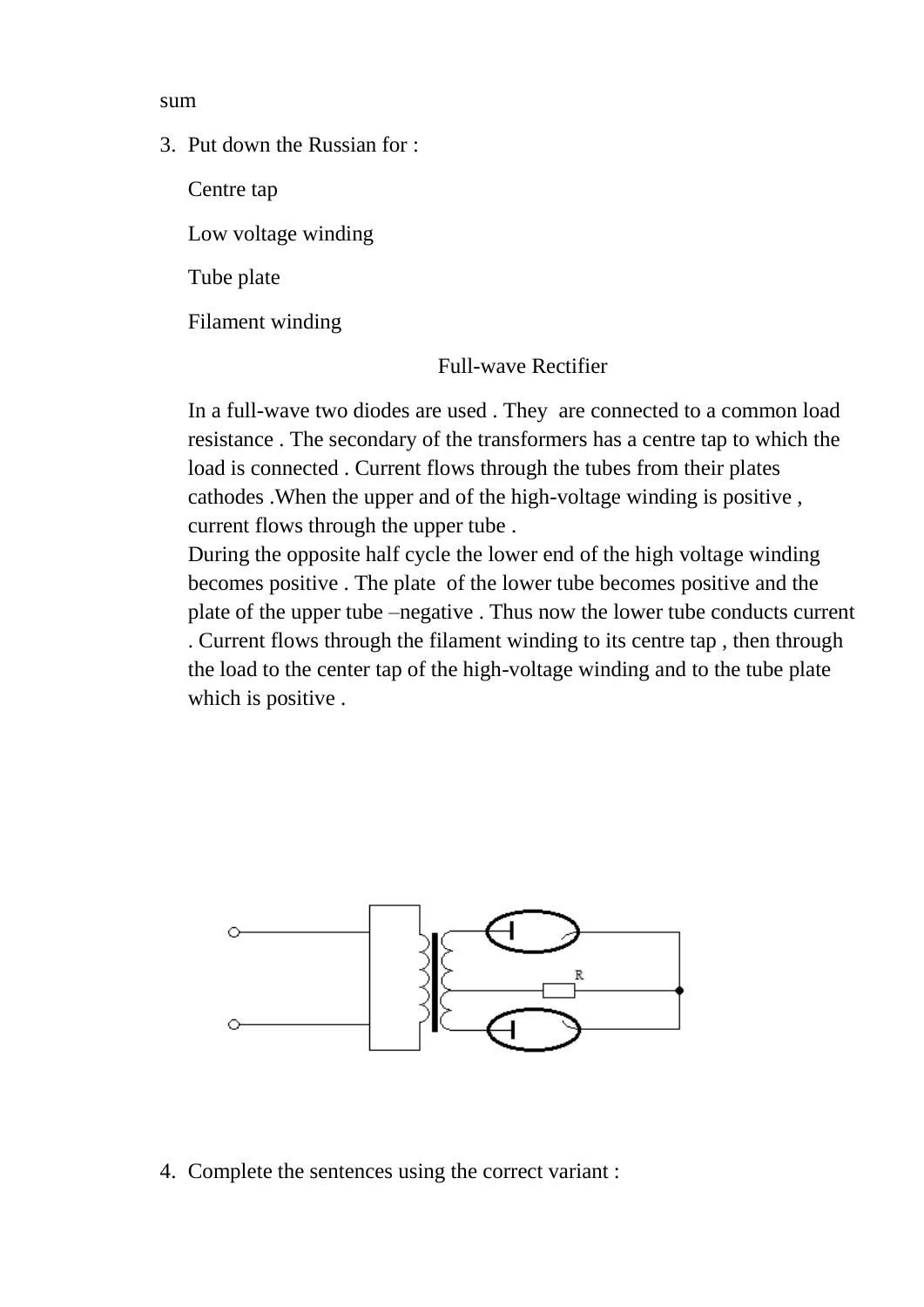sum

3. Put down the Russian for :

Centre tap

Low voltage winding

Tube plate

Filament winding

Full-wave Rectifier

In a full-wave two diodes are used . They are connected to a common load resistance . The secondary of the transformers has a centre tap to which the load is connected . Current flows through the tubes from their plates cathodes .When the upper and of the high-voltage winding is positive , current flows through the upper tube .

During the opposite half cycle the lower end of the high voltage winding becomes positive . The plate of the lower tube becomes positive and the plate of the upper tube –negative . Thus now the lower tube conducts current . Current flows through the filament winding to its centre tap , then through the load to the center tap of the high-voltage winding and to the tube plate which is positive.



4. Complete the sentences using the correct variant :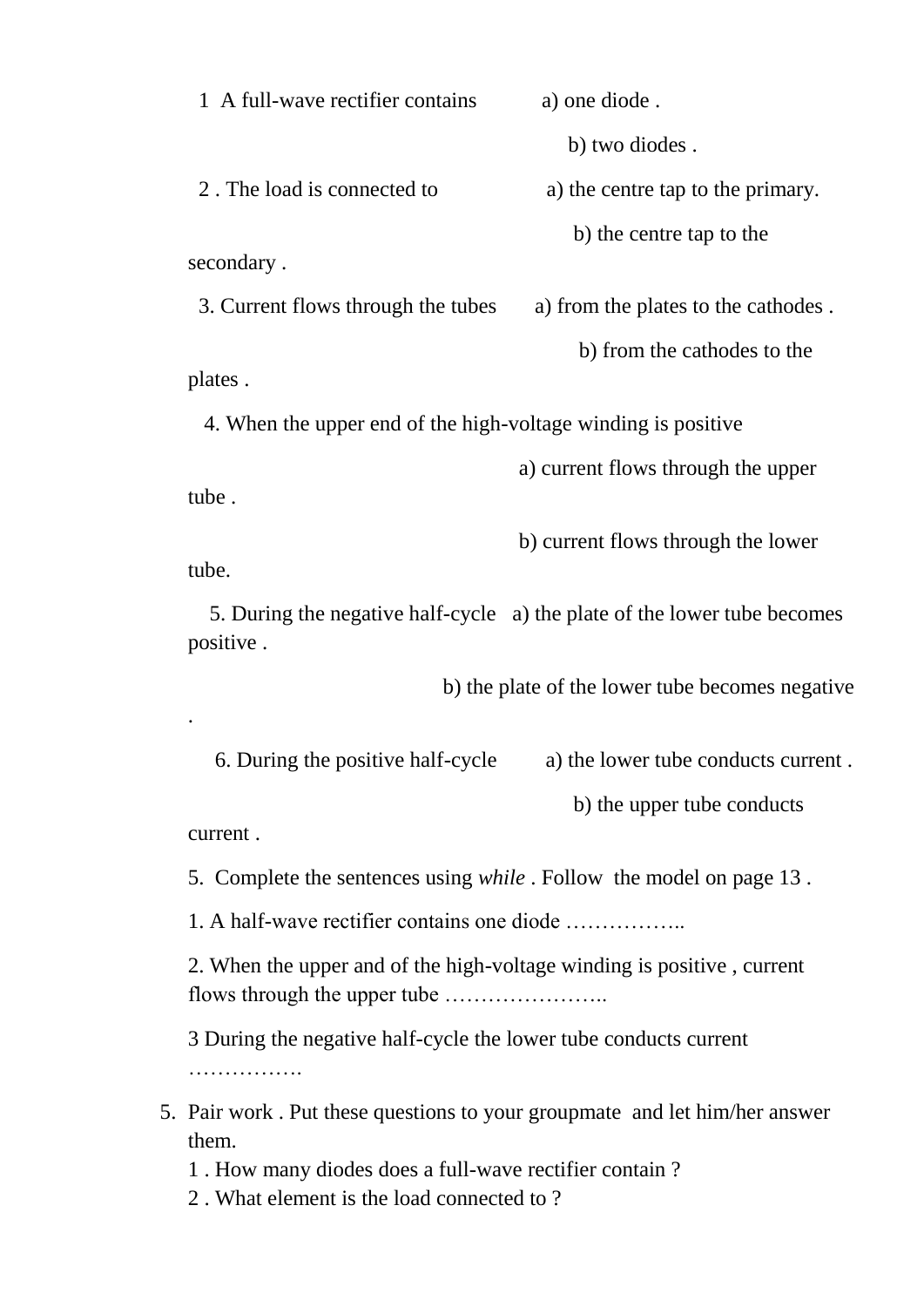1 A full-wave rectifier contains a) one diode . b) two diodes . 2. The load is connected to a) the centre tap to the primary. b) the centre tap to the secondary . 3. Current flows through the tubes a) from the plates to the cathodes . b) from the cathodes to the

plates .

4. When the upper end of the high-voltage winding is positive

a) current flows through the upper

tube .

b) current flows through the lower

tube.

.

 5. During the negative half-cycle a) the plate of the lower tube becomes positive .

b) the plate of the lower tube becomes negative

 6. During the positive half-cycle a) the lower tube conducts current . b) the upper tube conducts

current .

5. Complete the sentences using *while* . Follow the model on page 13 .

1. A half-wave rectifier contains one diode ……………..

2. When the upper and of the high-voltage winding is positive , current flows through the upper tube …………………..

3 During the negative half-cycle the lower tube conducts current …………….

# 5. Pair work . Put these questions to your groupmate and let him/her answer them.

1 . How many diodes does a full-wave rectifier contain ?

2 . What element is the load connected to ?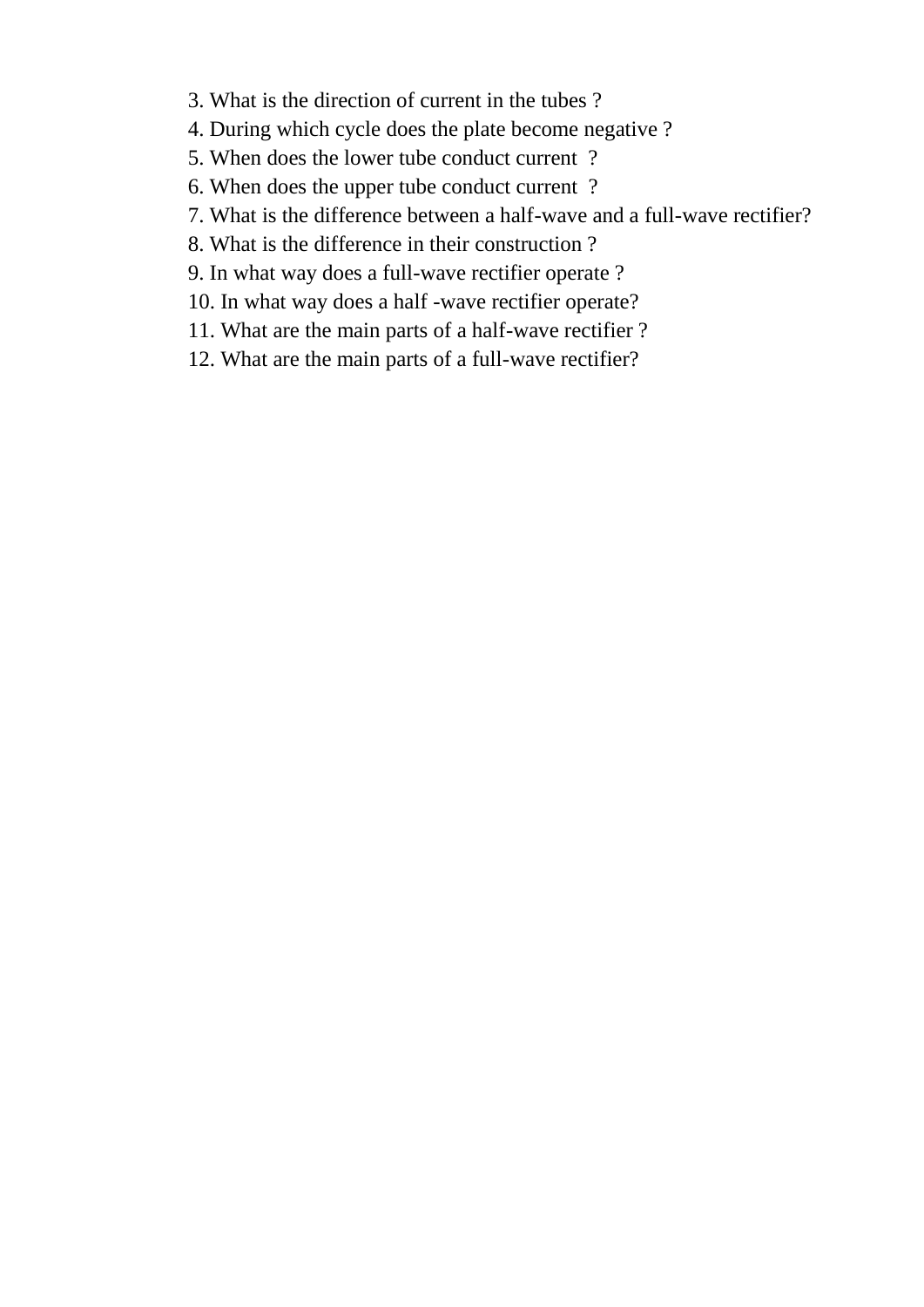- 3. What is the direction of current in the tubes ?
- 4. During which cycle does the plate become negative ?
- 5. When does the lower tube conduct current ?
- 6. When does the upper tube conduct current ?
- 7. What is the difference between a half-wave and a full-wave rectifier?
- 8. What is the difference in their construction ?
- 9. In what way does a full-wave rectifier operate ?
- 10. In what way does a half -wave rectifier operate?
- 11. What are the main parts of a half-wave rectifier ?
- 12. What are the main parts of a full-wave rectifier?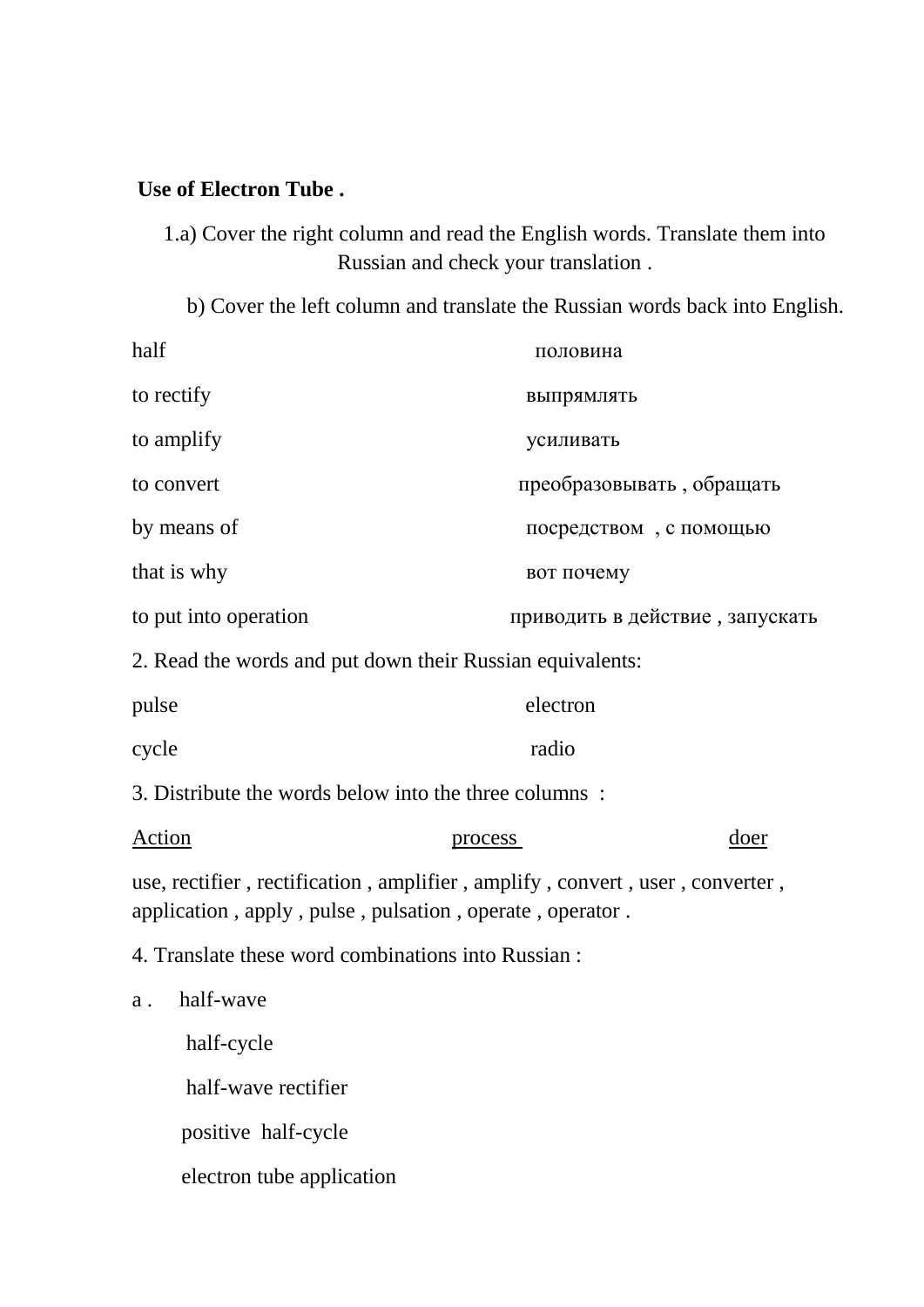#### **Use of Electron Tube .**

1.a) Cover the right column and read the English words. Translate them into Russian and check your translation .

b) Cover the left column and translate the Russian words back into English.

| half                                                  | половина                                                                                                                                 |
|-------------------------------------------------------|------------------------------------------------------------------------------------------------------------------------------------------|
| to rectify                                            | выпрямлять                                                                                                                               |
| to amplify                                            | усиливать                                                                                                                                |
| to convert                                            | преобразовывать, обращать                                                                                                                |
| by means of                                           | посредством, с помощью                                                                                                                   |
| that is why                                           | вот почему                                                                                                                               |
| to put into operation                                 | приводить в действие, запускать                                                                                                          |
|                                                       | 2. Read the words and put down their Russian equivalents:                                                                                |
| pulse                                                 | electron                                                                                                                                 |
| cycle                                                 | radio                                                                                                                                    |
| 3. Distribute the words below into the three columns: |                                                                                                                                          |
| Action                                                | doer<br>process                                                                                                                          |
|                                                       | use, rectifier, rectification, amplifier, amplify, convert, user, converter,<br>application, apply, pulse, pulsation, operate, operator. |
| 4. Translate these word combinations into Russian :   |                                                                                                                                          |
| half-wave<br>a.                                       |                                                                                                                                          |
| half-cycle                                            |                                                                                                                                          |
| half-wave rectifier                                   |                                                                                                                                          |
| positive half-cycle                                   |                                                                                                                                          |

electron tube application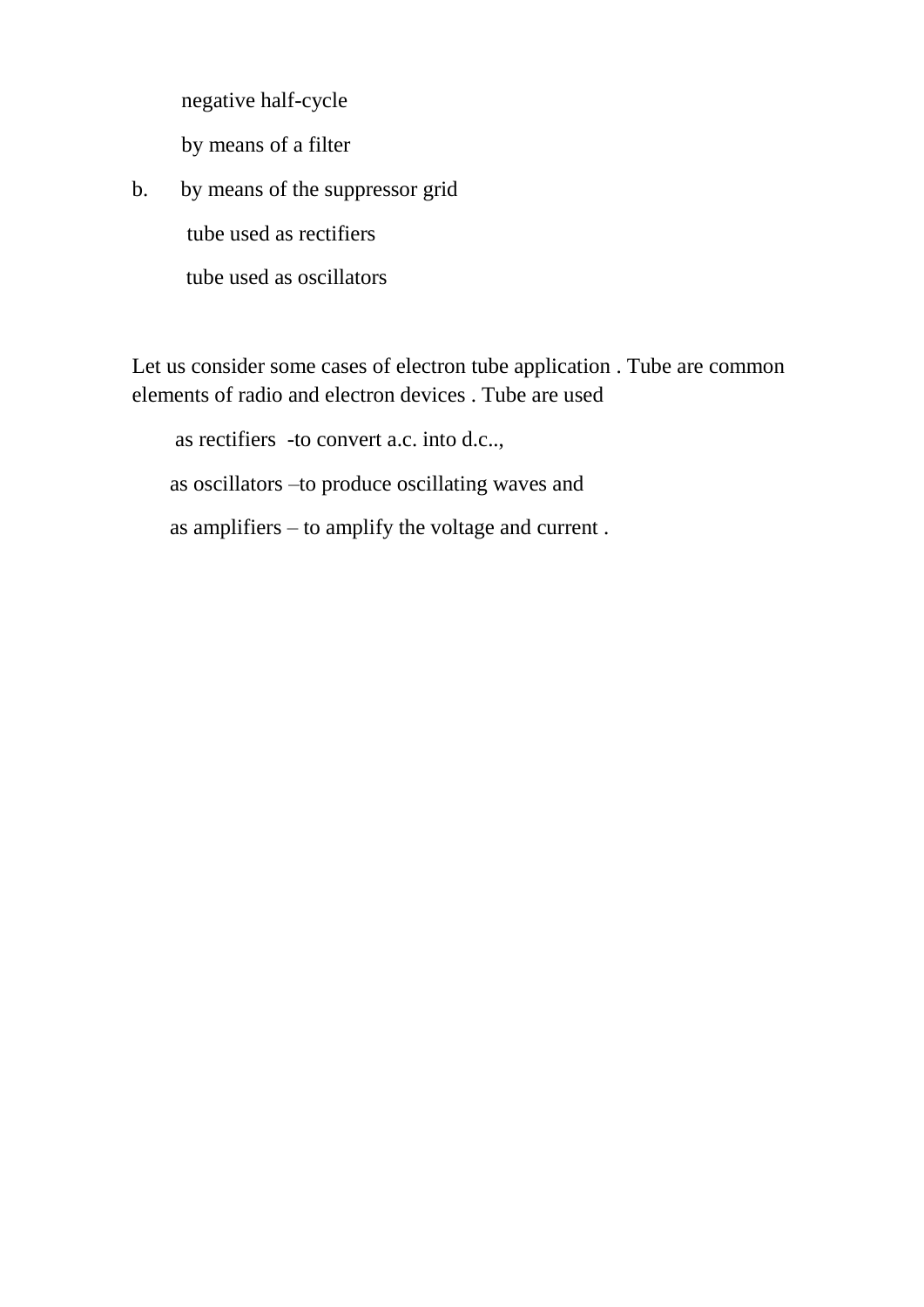negative half-cycle

by means of a filter

b. by means of the suppressor grid tube used as rectifiers

tube used as oscillators

Let us consider some cases of electron tube application . Tube are common elements of radio and electron devices . Tube are used

as rectifiers -to convert a.c. into d.c..,

as oscillators –to produce oscillating waves and

as amplifiers – to amplify the voltage and current .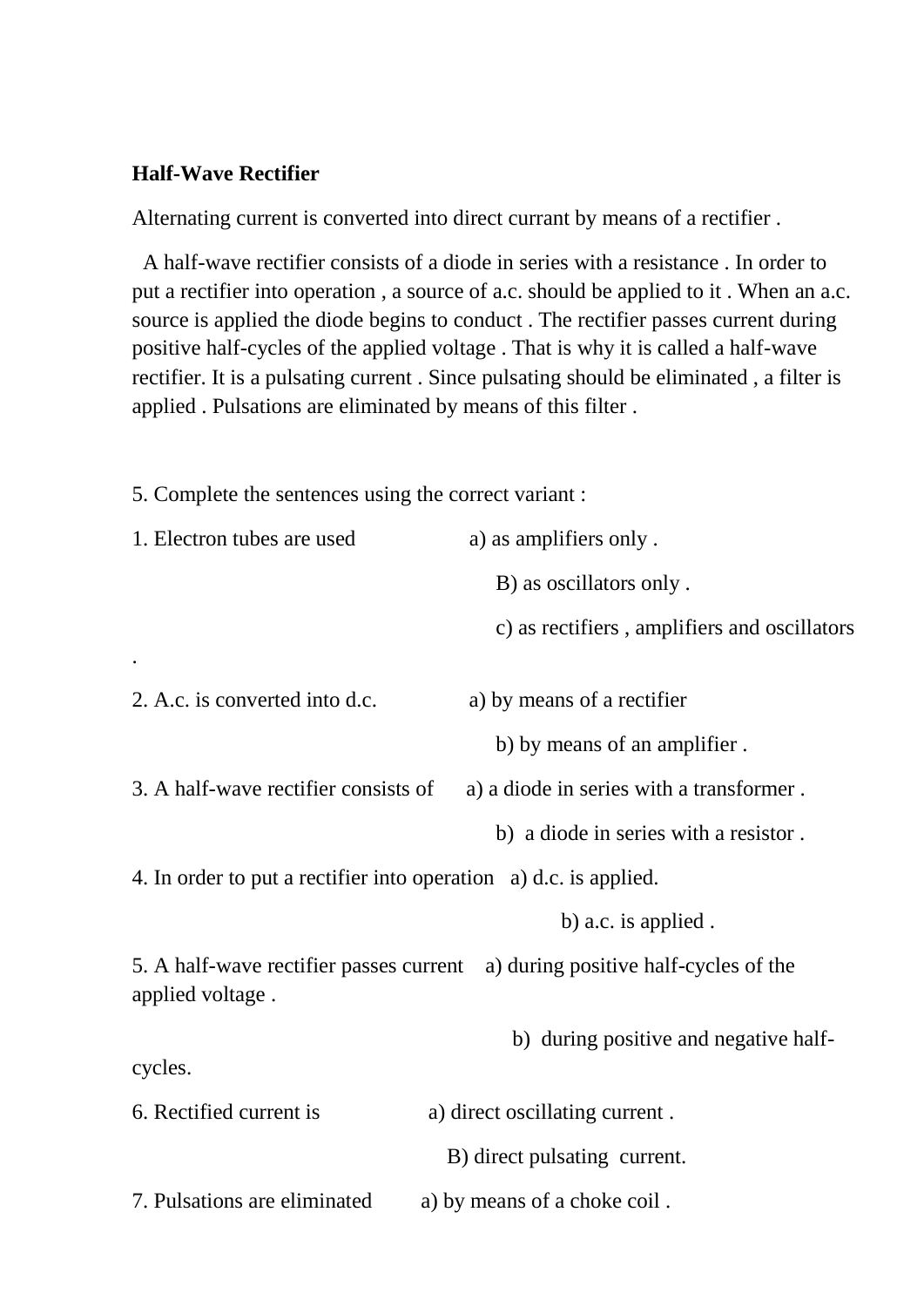#### **Half-Wave Rectifier**

Alternating current is converted into direct currant by means of a rectifier .

 A half-wave rectifier consists of a diode in series with a resistance . In order to put a rectifier into operation , a source of a.c. should be applied to it . When an a.c. source is applied the diode begins to conduct . The rectifier passes current during positive half-cycles of the applied voltage . That is why it is called a half-wave rectifier. It is a pulsating current . Since pulsating should be eliminated , a filter is applied . Pulsations are eliminated by means of this filter .

5. Complete the sentences using the correct variant :

| 1. Electron tubes are used                                        | a) as amplifiers only.                                                        |  |  |
|-------------------------------------------------------------------|-------------------------------------------------------------------------------|--|--|
|                                                                   | B) as oscillators only.                                                       |  |  |
|                                                                   | c) as rectifiers, amplifiers and oscillators                                  |  |  |
|                                                                   |                                                                               |  |  |
| 2. A.c. is converted into d.c.                                    | a) by means of a rectifier                                                    |  |  |
|                                                                   | b) by means of an amplifier.                                                  |  |  |
| 3. A half-wave rectifier consists of                              | a) a diode in series with a transformer.                                      |  |  |
|                                                                   | b) a diode in series with a resistor.                                         |  |  |
| 4. In order to put a rectifier into operation a) d.c. is applied. |                                                                               |  |  |
|                                                                   | b) a.c. is applied.                                                           |  |  |
|                                                                   | 5. A half-wave rectifier passes current a) during positive half-cycles of the |  |  |
| applied voltage.                                                  |                                                                               |  |  |
|                                                                   | b) during positive and negative half-                                         |  |  |
| cycles.                                                           |                                                                               |  |  |
| 6. Rectified current is                                           | a) direct oscillating current.                                                |  |  |
|                                                                   | B) direct pulsating current.                                                  |  |  |
| 7. Pulsations are eliminated                                      | a) by means of a choke coil.                                                  |  |  |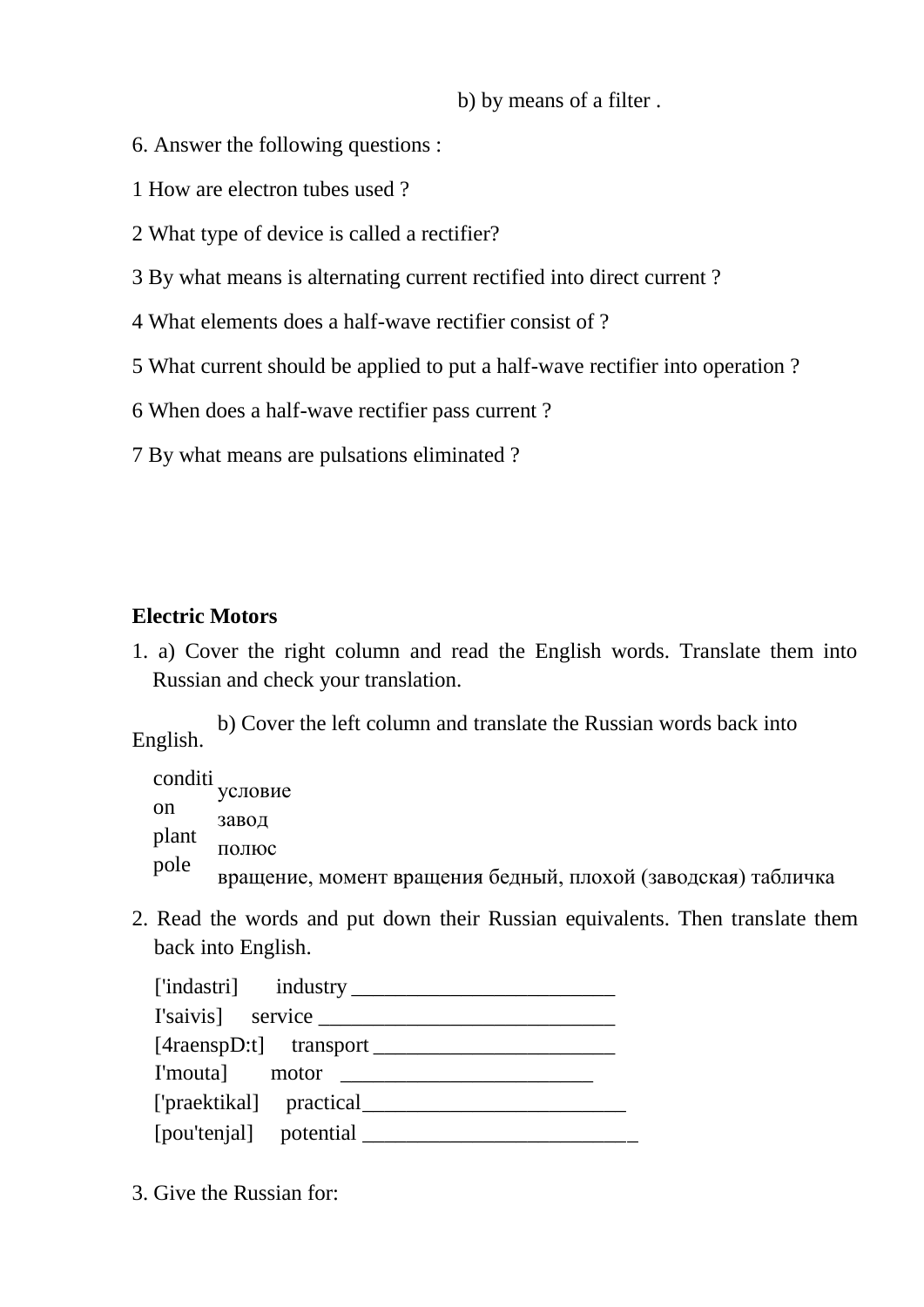b) by means of a filter .

- 6. Answer the following questions :
- 1 How are electron tubes used ?
- 2 What type of device is called a rectifier?
- 3 By what means is alternating current rectified into direct current ?
- 4 What elements does a half-wave rectifier consist of ?
- 5 What current should be applied to put a half-wave rectifier into operation ?
- 6 When does a half-wave rectifier pass current ?
- 7 By what means are pulsations eliminated ?

#### **Electric Motors**

1. a) Cover the right column and read the English words. Translate them into Russian and check your translation.

b) Cover the left column and translate the Russian words back into English.

conditi <sub>условие</sub> завод полюс вращение, момент вращения бедный, плохой (заводская) табличка on plant pole

2. Read the words and put down their Russian equivalents. Then translate them back into English.

3. Give the Russian for: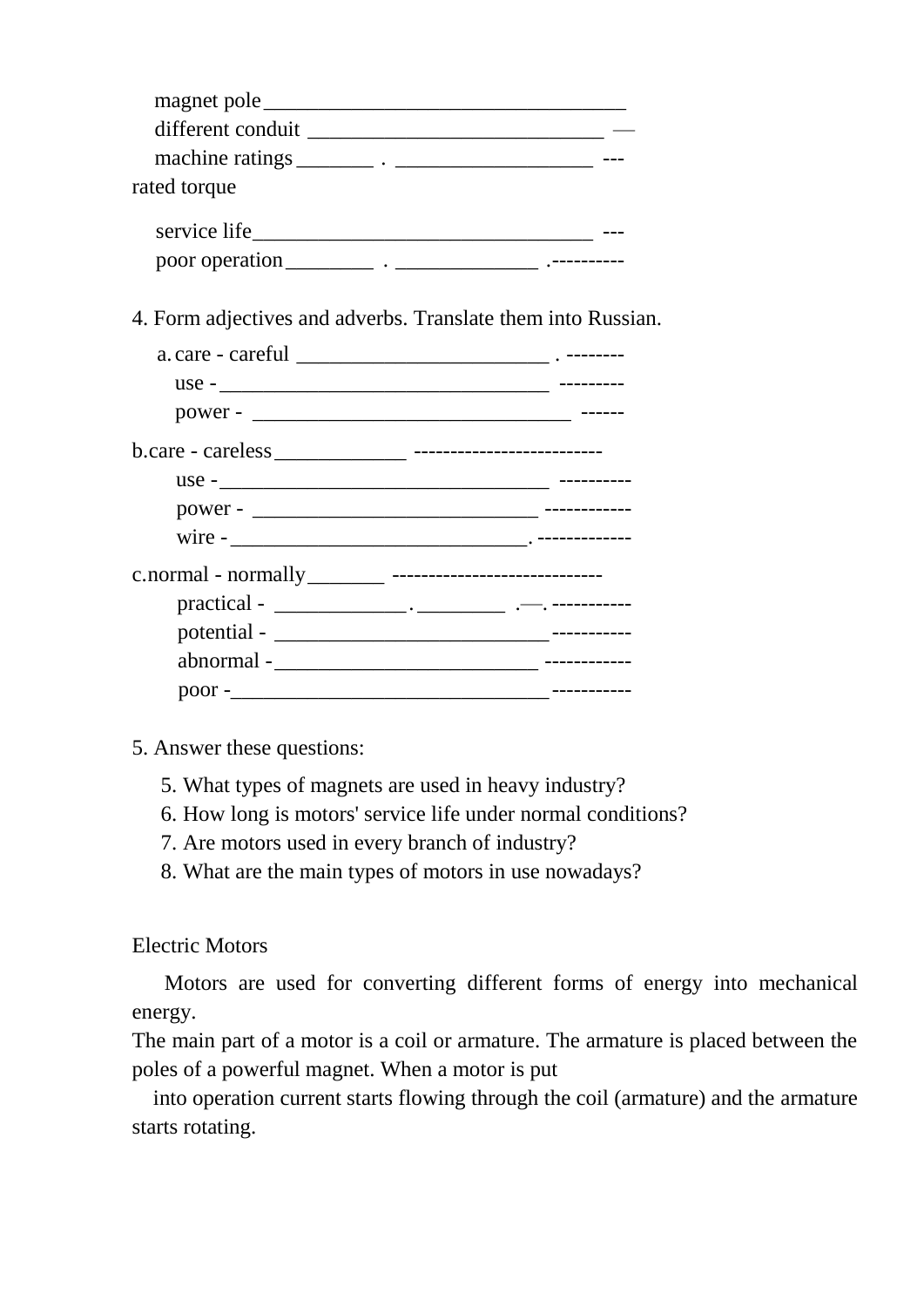| magnet pole______ |  |
|-------------------|--|
| different conduit |  |
|                   |  |
| rated torque      |  |
|                   |  |
| service life      |  |
| poor operation    |  |

4. Form adjectives and adverbs. Translate them into Russian.

| $use -$ |  |
|---------|--|
|         |  |
|         |  |
|         |  |
|         |  |
|         |  |
|         |  |
|         |  |

- 5. Answer these questions:
	- 5. What types of magnets are used in heavy industry?
	- 6. How long is motors' service life under normal conditions?
	- 7. Are motors used in every branch of industry?
	- 8. What are the main types of motors in use nowadays?

#### Electric Motors

 Motors are used for converting different forms of energy into mechanical energy.

The main part of a motor is a coil or armature. The armature is placed between the poles of a powerful magnet. When a motor is put

into operation current starts flowing through the coil (armature) and the armature starts rotating.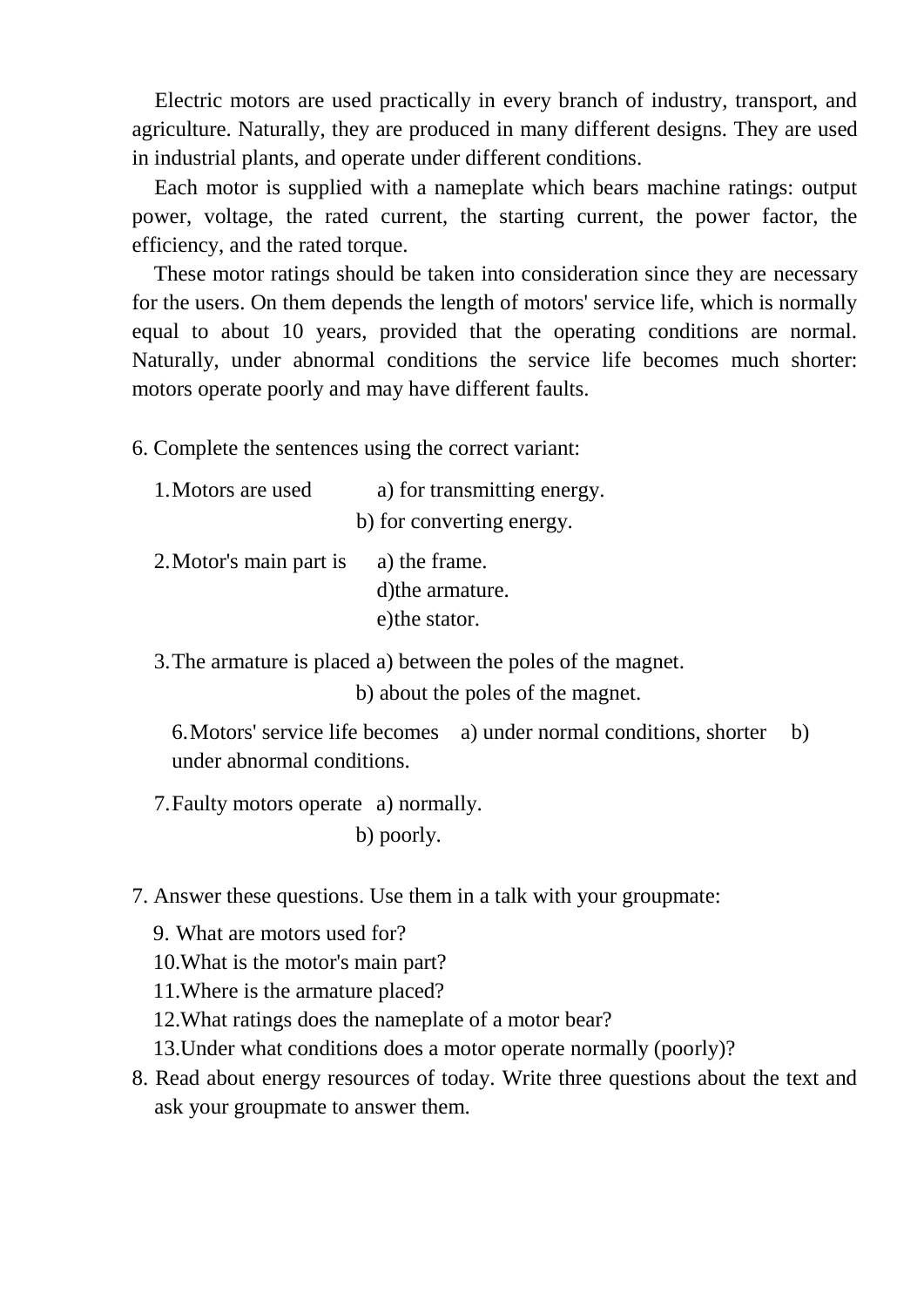Electric motors are used practically in every branch of industry, transport, and agriculture. Naturally, they are produced in many different designs. They are used in industrial plants, and operate under different conditions.

Each motor is supplied with a nameplate which bears machine ratings: output power, voltage, the rated current, the starting current, the power factor, the efficiency, and the rated torque.

These motor ratings should be taken into consideration since they are necessary for the users. On them depends the length of motors' service life, which is normally equal to about 10 years, provided that the operating conditions are normal. Naturally, under abnormal conditions the service life becomes much shorter: motors operate poorly and may have different faults.

6. Complete the sentences using the correct variant:

| 1. Motors are used      | a) for transmitting energy. |
|-------------------------|-----------------------------|
|                         | b) for converting energy.   |
| 2. Motor's main part is | a) the frame.               |
|                         | d) the armature.            |
|                         | e) the stator.              |

3.The armature is placed a) between the poles of the magnet.

b) about the poles of the magnet.

6.Motors' service life becomes a) under normal conditions, shorter b) under abnormal conditions.

7.Faulty motors operate a) normally.

b) poorly.

7. Answer these questions. Use them in a talk with your groupmate:

9. What are motors used for?

- 10.What is the motor's main part?
- 11.Where is the armature placed?
- 12.What ratings does the nameplate of a motor bear?
- 13.Under what conditions does a motor operate normally (poorly)?
- 8. Read about energy resources of today. Write three questions about the text and ask your groupmate to answer them.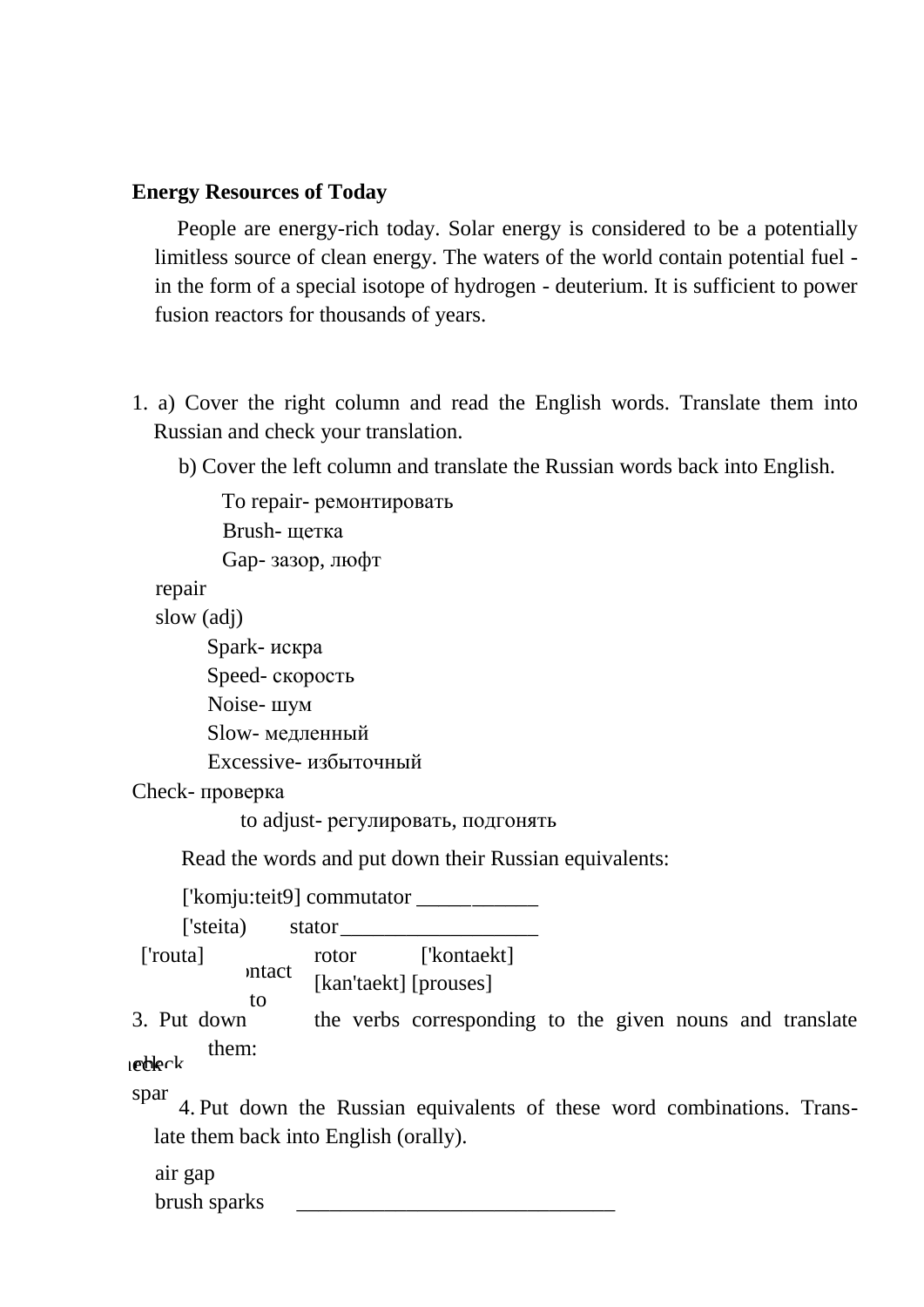#### **Energy Resources of Today**

People are energy-rich today. Solar energy is considered to be a potentially limitless source of clean energy. The waters of the world contain potential fuel in the form of a special isotope of hydrogen - deuterium. It is sufficient to power fusion reactors for thousands of years.

- 1. a) Cover the right column and read the English words. Translate them into Russian and check your translation.
	- b) Cover the left column and translate the Russian words back into English.

To repair- ремонтировать Brush- щетка

Gap- зазор, люфт

repair

slow (adj)

Spark- искра

Speed- скорость

Noise- шум

Slow- медленный

Excessive- избыточный

Check- проверка

to adjust- регулировать, подгонять

Read the words and put down their Russian equivalents:

['komju:teit9] commutator \_\_\_\_\_\_\_\_\_\_\_

['steita) stator

['routa] rotor ['kontaekt] [kan'taekt] [prouses] mtact to

3. Put down the verbs corresponding to the given nouns and translate them: t  $t$ 

4. Put down the Russian equivalents of these word combinations. Translate them back into English (orally).  $\mathcal{C}$ spar brus

air gap brush sparks \_\_\_\_\_\_\_\_\_\_\_\_\_\_\_\_\_\_\_\_\_\_\_\_\_\_\_\_\_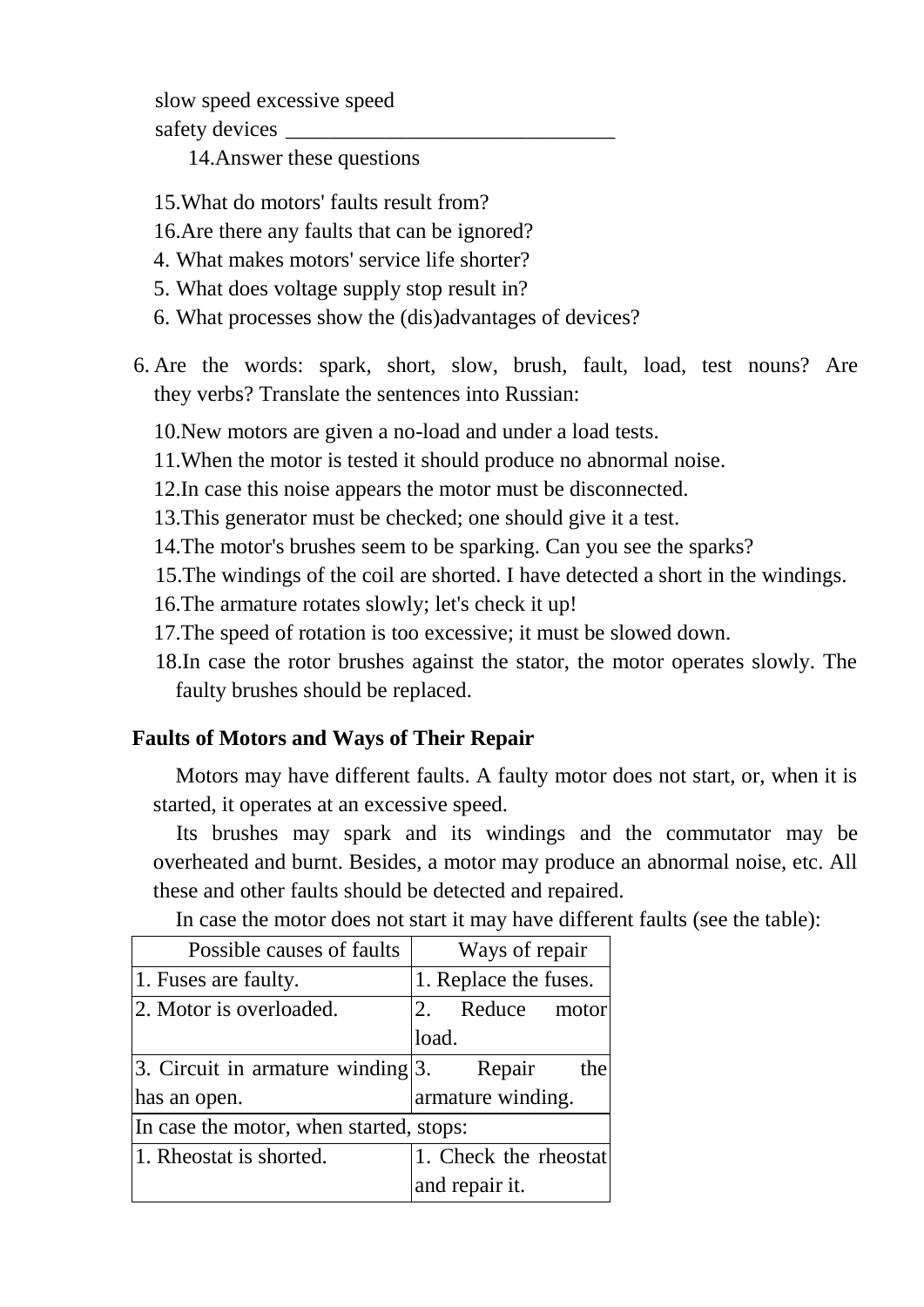slow speed excessive speed safety devices

14.Answer these questions

- 15.What do motors' faults result from?
- 16.Are there any faults that can be ignored?
- 4. What makes motors' service life shorter?
- 5. What does voltage supply stop result in?
- 6. What processes show the (dis)advantages of devices?
- 6. Are the words: spark, short, slow, brush, fault, load, test nouns? Are they verbs? Translate the sentences into Russian:

10.New motors are given a no-load and under a load tests.

- 11.When the motor is tested it should produce no abnormal noise.
- 12.In case this noise appears the motor must be disconnected.
- 13.This generator must be checked; one should give it a test.
- 14.The motor's brushes seem to be sparking. Can you see the sparks?
- 15.The windings of the coil are shorted. I have detected a short in the windings.
- 16.The armature rotates slowly; let's check it up!
- 17.The speed of rotation is too excessive; it must be slowed down.
- 18.In case the rotor brushes against the stator, the motor operates slowly. The faulty brushes should be replaced.

## **Faults of Motors and Ways of Their Repair**

Motors may have different faults. A faulty motor does not start, or, when it is started, it operates at an excessive speed.

Its brushes may spark and its windings and the commutator may be overheated and burnt. Besides, a motor may produce an abnormal noise, etc. All these and other faults should be detected and repaired.

| Possible causes of faults               | Ways of repair        |  |
|-----------------------------------------|-----------------------|--|
| 1. Fuses are faulty.                    | 1. Replace the fuses. |  |
| 2. Motor is overloaded.                 | 2. Reduce motor       |  |
|                                         | load.                 |  |
| 3. Circuit in armature winding $ 3$ .   | Repair<br>the         |  |
| has an open.                            | armature winding.     |  |
| In case the motor, when started, stops: |                       |  |
| 1. Rheostat is shorted.                 | 1. Check the rheostat |  |
|                                         | and repair it.        |  |

In case the motor does not start it may have different faults (see the table):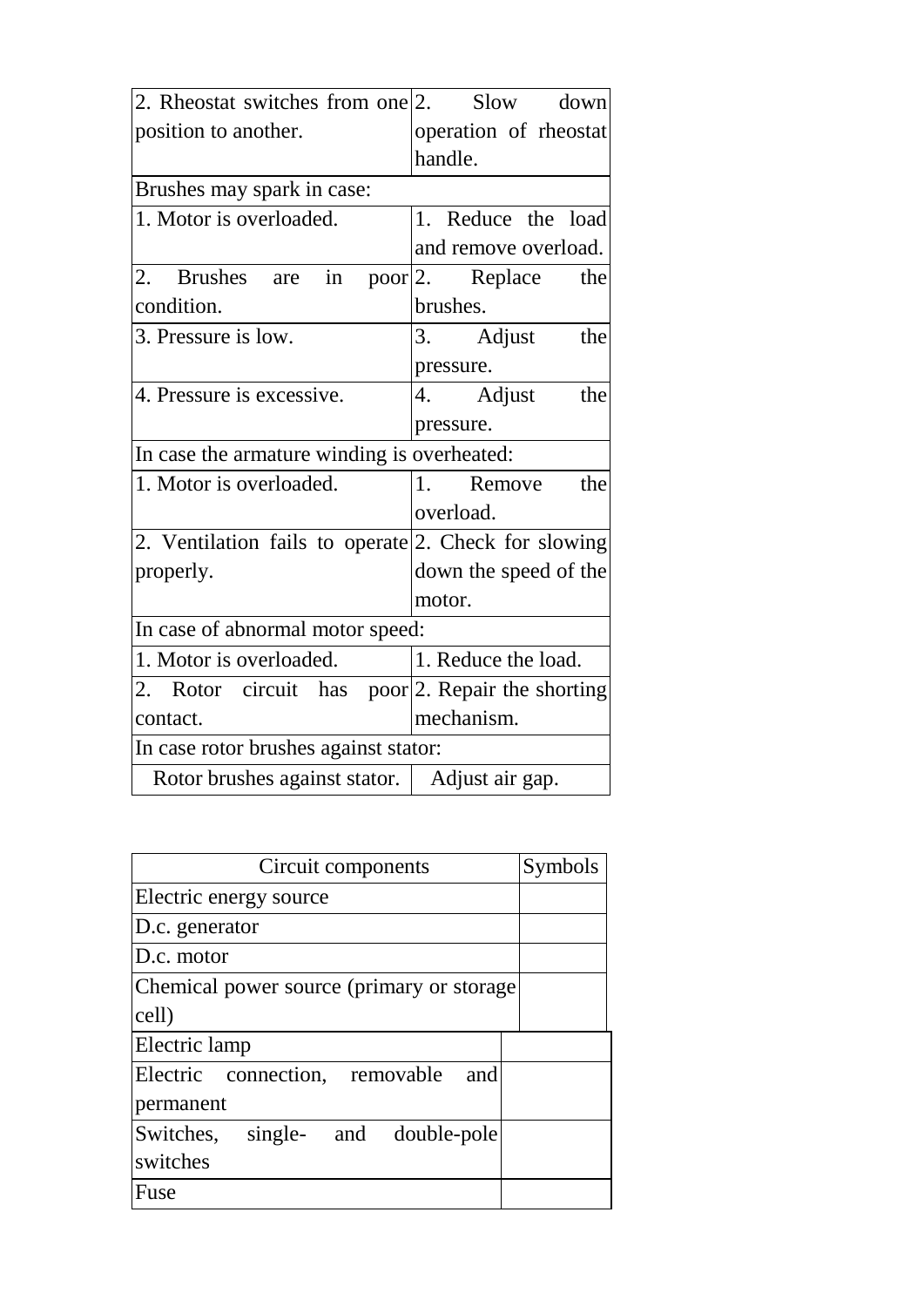| 2. Rheostat switches from one 2. Slow down           |                       |
|------------------------------------------------------|-----------------------|
| position to another.                                 | operation of rheostat |
|                                                      | handle.               |
| Brushes may spark in case:                           |                       |
| 1. Motor is overloaded.                              | 1. Reduce the load    |
|                                                      | and remove overload.  |
| 2. Brushes are in poor 2. Replace                    | the                   |
| condition.                                           | brushes.              |
| 3. Pressure is low.                                  | 3. Adjust<br>the      |
|                                                      | pressure.             |
| 4. Pressure is excessive.                            | 4. Adjust<br>the      |
|                                                      | pressure.             |
| In case the armature winding is overheated:          |                       |
| 1. Motor is overloaded.                              | 1.<br>Remove<br>the   |
|                                                      | overload.             |
| 2. Ventilation fails to operate 2. Check for slowing |                       |
| properly.                                            | down the speed of the |
|                                                      | motor.                |
| In case of abnormal motor speed:                     |                       |
| 1. Motor is overloaded.                              | 1. Reduce the load.   |
| 2. Rotor circuit has poor 2. Repair the shorting     |                       |
| contact.                                             | mechanism.            |
| In case rotor brushes against stator:                |                       |
| Rotor brushes against stator.   Adjust air gap.      |                       |

| Circuit components                         | Symbols |
|--------------------------------------------|---------|
| Electric energy source                     |         |
| D.c. generator                             |         |
| D.c. motor                                 |         |
| Chemical power source (primary or storage) |         |
| cell)                                      |         |
| Electric lamp                              |         |
| Electric connection, removable<br>and      |         |
| permanent                                  |         |
| Switches, single- and double-pole          |         |
| switches                                   |         |
| Fuse                                       |         |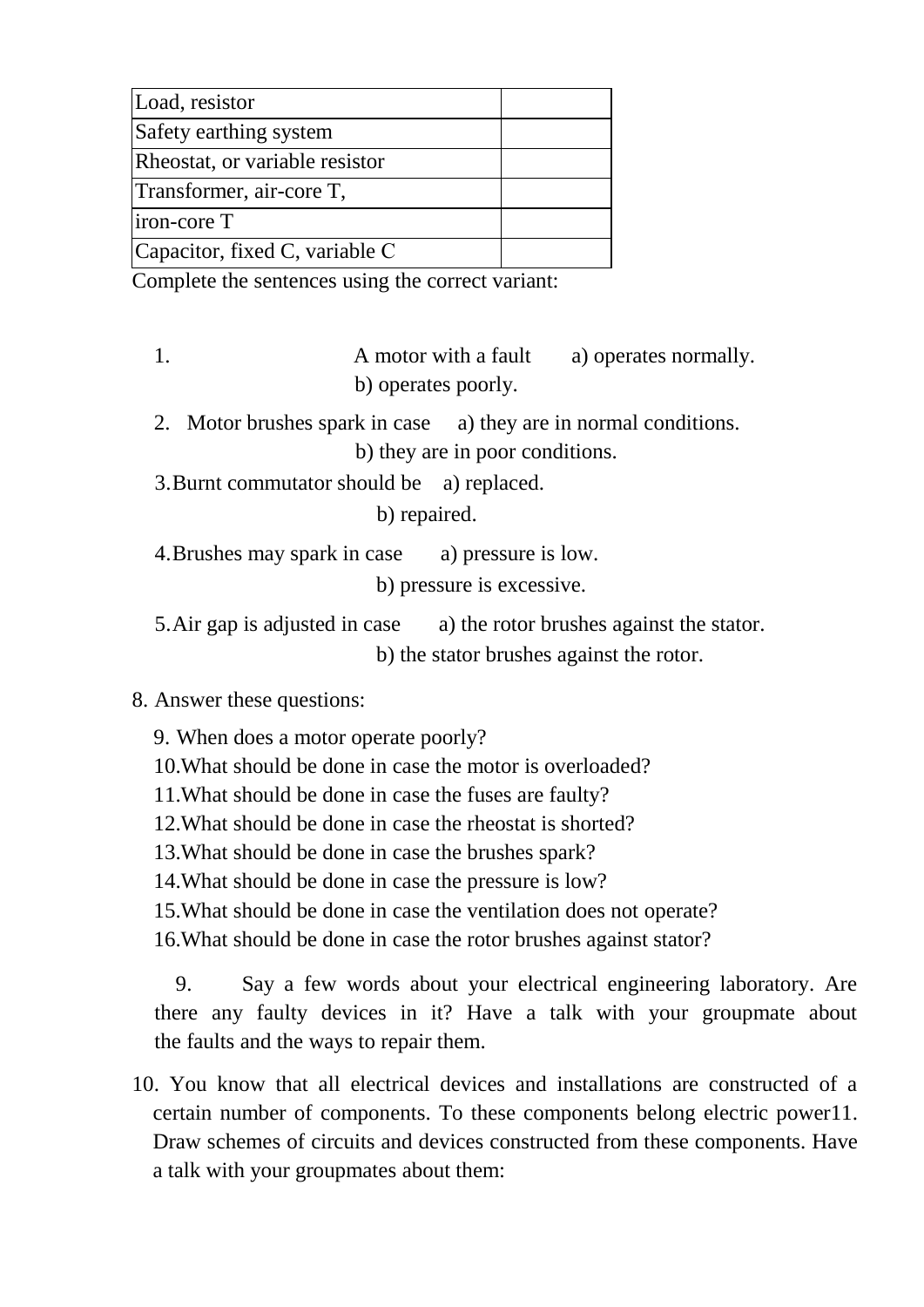| Load, resistor                 |  |
|--------------------------------|--|
| Safety earthing system         |  |
| Rheostat, or variable resistor |  |
| Transformer, air-core T,       |  |
| iron-core T                    |  |
| Capacitor, fixed C, variable C |  |

Complete the sentences using the correct variant:

- 1. A motor with a fault a) operates normally. b) operates poorly.
- 2. Motor brushes spark in case a) they are in normal conditions. b) they are in poor conditions.
- 3.Burnt commutator should be a) replaced.
	- b) repaired.
- 4.Brushes may spark in case a) pressure is low.
	- b) pressure is excessive.
- 5.Air gap is adjusted in case a) the rotor brushes against the stator. b) the stator brushes against the rotor.
- 8. Answer these questions:
	- 9. When does a motor operate poorly?
	- 10.What should be done in case the motor is overloaded?
	- 11.What should be done in case the fuses are faulty?
	- 12.What should be done in case the rheostat is shorted?
	- 13.What should be done in case the brushes spark?
	- 14.What should be done in case the pressure is low?
	- 15.What should be done in case the ventilation does not operate?
	- 16.What should be done in case the rotor brushes against stator?
	- 9. Say a few words about your electrical engineering laboratory. Are there any faulty devices in it? Have a talk with your groupmate about the faults and the ways to repair them.
- 10. You know that all electrical devices and installations are constructed of a certain number of components. To these components belong electric power11. Draw schemes of circuits and devices constructed from these components. Have a talk with your groupmates about them: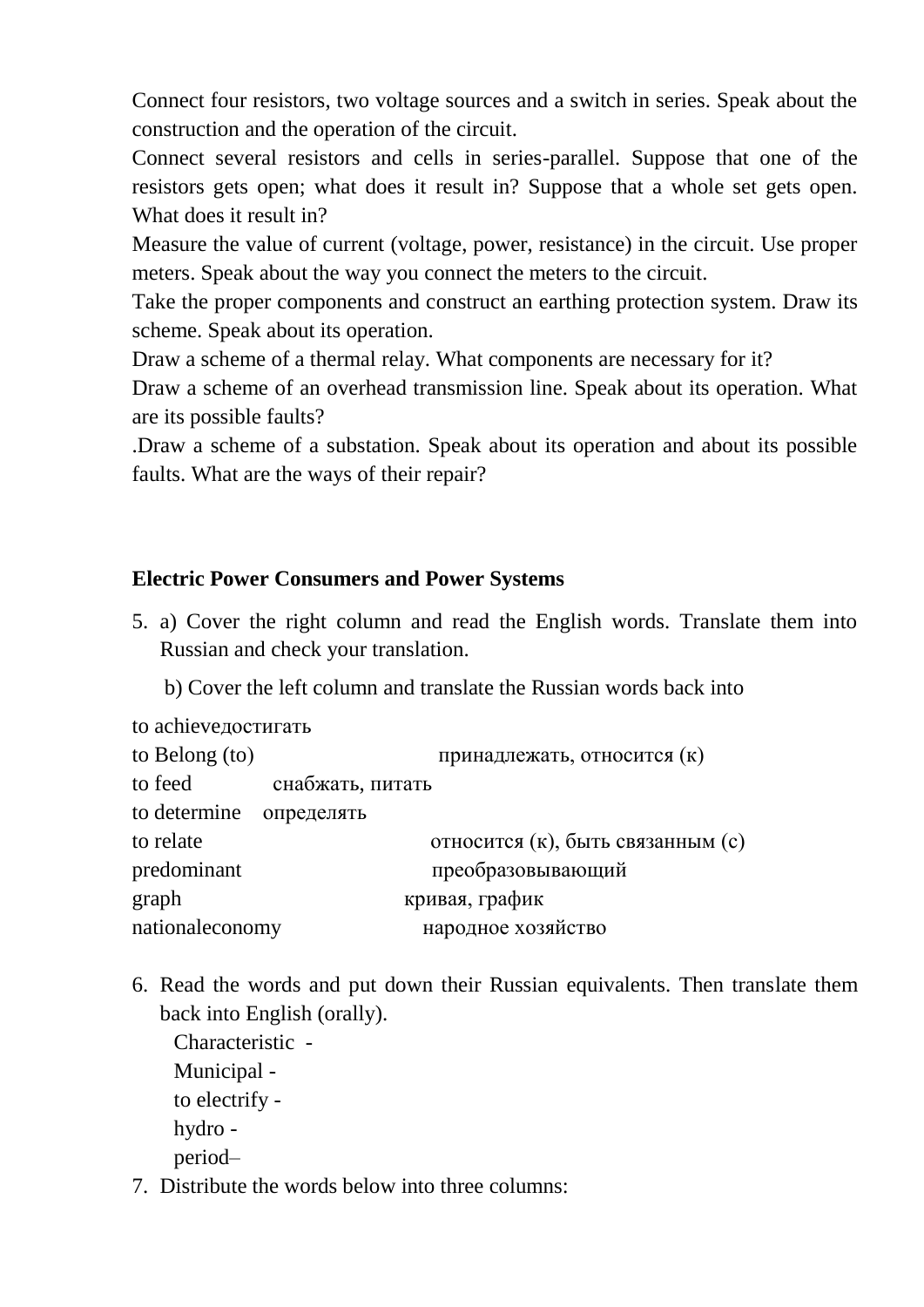Connect four resistors, two voltage sources and a switch in series. Speak about the construction and the operation of the circuit.

Connect several resistors and cells in series-parallel. Suppose that one of the resistors gets open; what does it result in? Suppose that a whole set gets open. What does it result in?

Measure the value of current (voltage, power, resistance) in the circuit. Use proper meters. Speak about the way you connect the meters to the circuit.

Take the proper components and construct an earthing protection system. Draw its scheme. Speak about its operation.

Draw a scheme of a thermal relay. What components are necessary for it?

Draw a scheme of an overhead transmission line. Speak about its operation. What are its possible faults?

.Draw a scheme of a substation. Speak about its operation and about its possible faults. What are the ways of their repair?

## **Electric Power Consumers and Power Systems**

- 5. a) Cover the right column and read the English words. Translate them into Russian and check your translation.
	- b) Cover the left column and translate the Russian words back into

to achieveдостигать

| to Belong $(to)$        |                  | принадлежать, относится (к)       |
|-------------------------|------------------|-----------------------------------|
| to feed                 | снабжать, питать |                                   |
| to determine определять |                  |                                   |
| to relate               |                  | относится (к), быть связанным (с) |
| predominant             |                  | преобразовывающий                 |
| graph                   |                  | кривая, график                    |
| nationaleconomy         |                  | народное хозяйство                |

6. Read the words and put down their Russian equivalents. Then translate them back into English (orally).

Characteristic - Municipal to electrify hydro period–

7. Distribute the words below into three columns: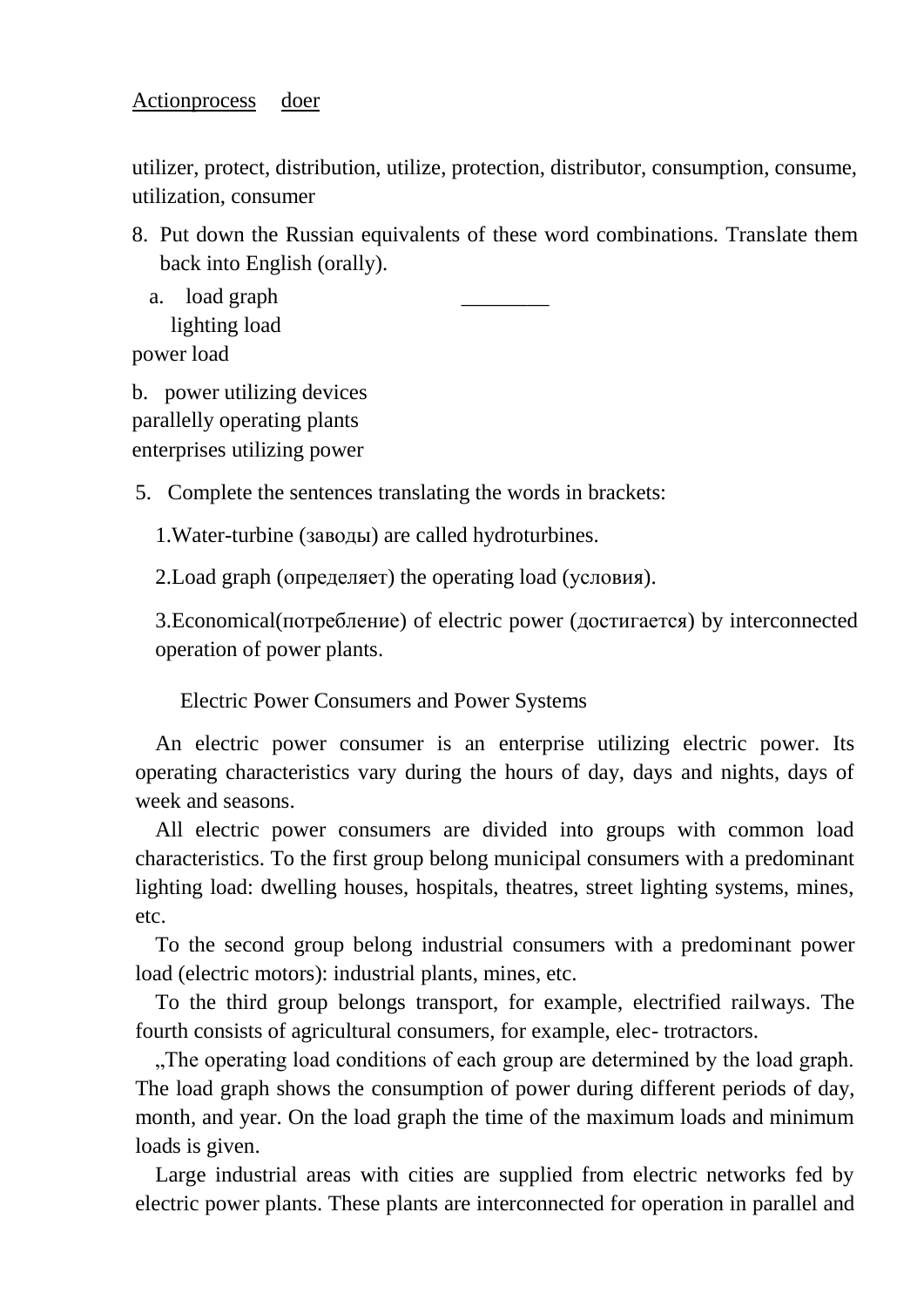utilizer, protect, distribution, utilize, protection, distributor, consumption, consume, utilization, consumer

8. Put down the Russian equivalents of these word combinations. Translate them back into English (orally).

a. load graph lighting load

power load

b. power utilizing devices parallelly operating plants enterprises utilizing power

5. Complete the sentences translating the words in brackets:

1.Water-turbine (заводы) are called hydroturbines.

2.Load graph (определяет) the operating load (условия).

3.Economical(потребление) of electric power (достигается) by interconnected operation of power plants.

Electric Power Consumers and Power Systems

An electric power consumer is an enterprise utilizing electric power. Its operating characteristics vary during the hours of day, days and nights, days of week and seasons.

All electric power consumers are divided into groups with common load characteristics. To the first group belong municipal consumers with a predominant lighting load: dwelling houses, hospitals, theatres, street lighting systems, mines, etc.

To the second group belong industrial consumers with a predominant power load (electric motors): industrial plants, mines, etc.

To the third group belongs transport, for example, electrified railways. The fourth consists of agricultural consumers, for example, elec- trotractors.

..The operating load conditions of each group are determined by the load graph. The load graph shows the consumption of power during different periods of day, month, and year. On the load graph the time of the maximum loads and minimum loads is given.

Large industrial areas with cities are supplied from electric networks fed by electric power plants. These plants are interconnected for operation in parallel and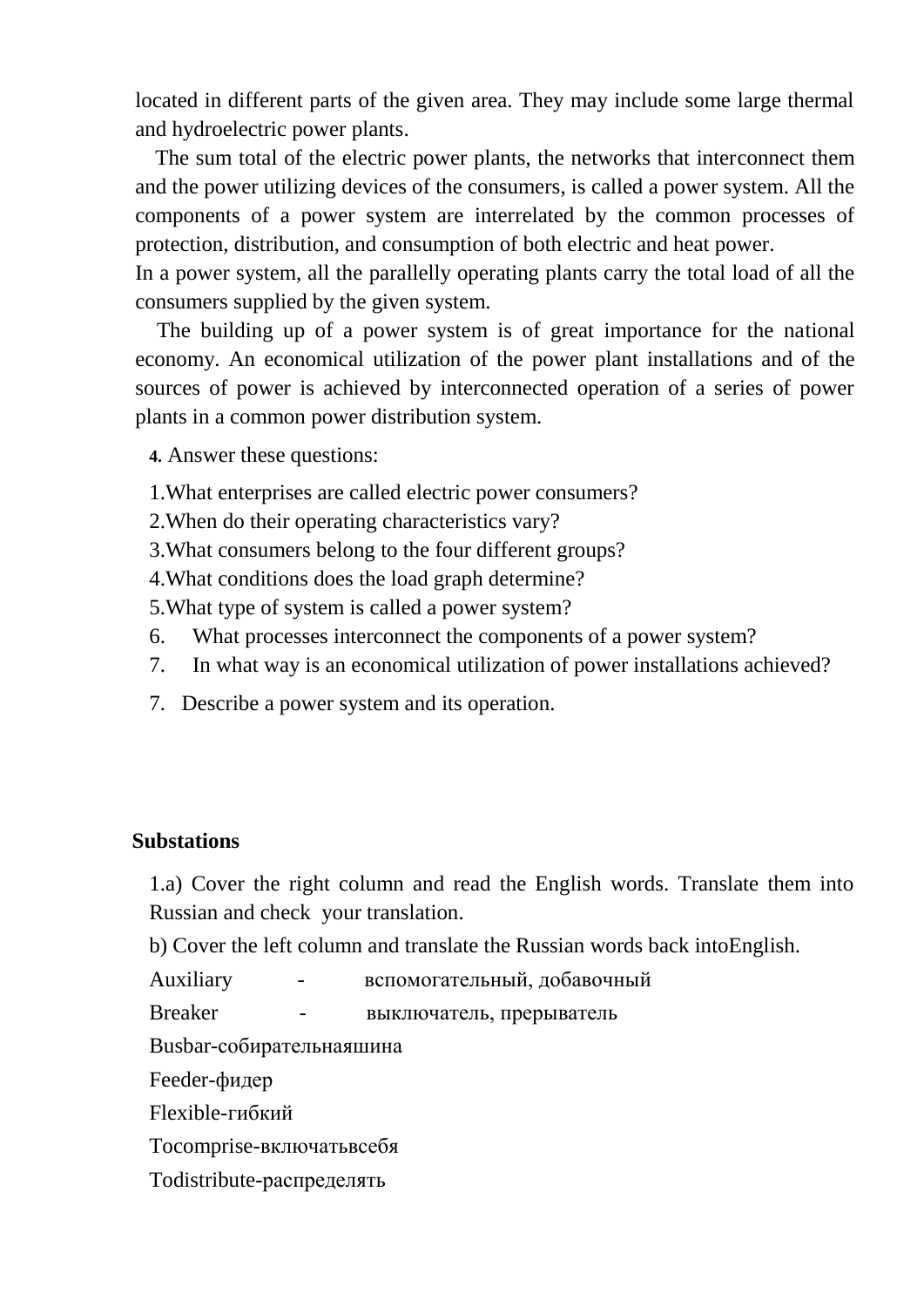located in different parts of the given area. They may include some large thermal and hydroelectric power plants.

The sum total of the electric power plants, the networks that interconnect them and the power utilizing devices of the consumers, is called a power system. All the components of a power system are interrelated by the common processes of protection, distribution, and consumption of both electric and heat power.

In a power system, all the parallelly operating plants carry the total load of all the consumers supplied by the given system.

 The building up of a power system is of great importance for the national economy. An economical utilization of the power plant installations and of the sources of power is achieved by interconnected operation of a series of power plants in a common power distribution system.

**4.** Answer these questions:

1.What enterprises are called electric power consumers?

- 2.When do their operating characteristics vary?
- 3.What consumers belong to the four different groups?

4.What conditions does the load graph determine?

5.What type of system is called a power system?

- 6. What processes interconnect the components of a power system?
- 7. In what way is an economical utilization of power installations achieved?
- 7. Describe a power system and its operation.

#### **Substations**

1.a) Cover the right column and read the English words. Translate them into Russian and check your translation.

b) Cover the left column and translate the Russian words back intoEnglish.

Auxiliary - вспомогательный, добавочный

Breaker - выключатель, прерыватель

Busbar-собирательнаяшина

Feeder-фидер

Flexible-гибкий

Tocomprise-включатьвсебя

Todistribute-распределять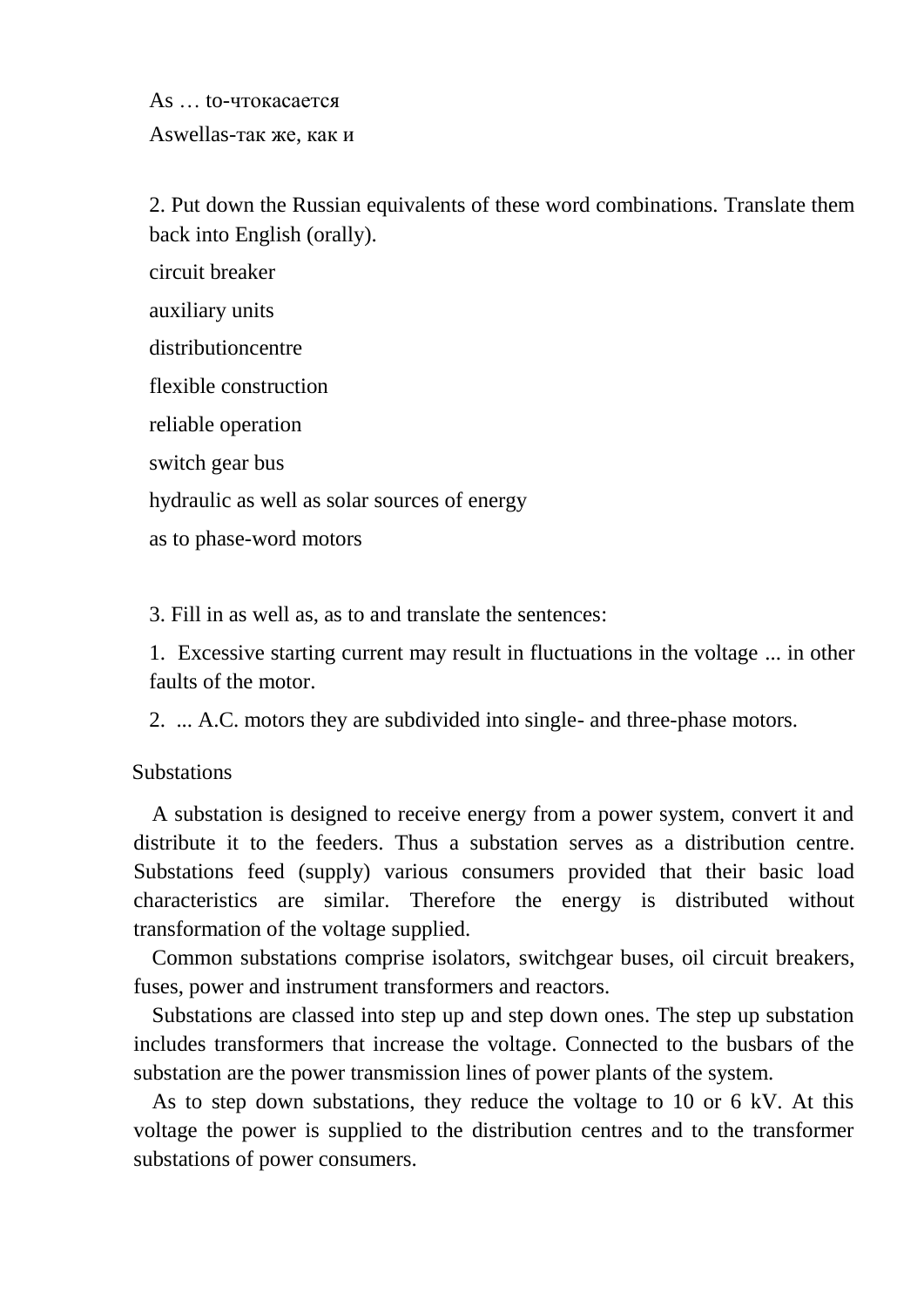As … to-чтокасается Aswellas-так же, как и

2. Put down the Russian equivalents of these word combinations. Translate them back into English (orally).

circuit breaker

auxiliary units

distributioncentre

flexible construction

reliable operation

switch gear bus

hydraulic as well as solar sources of energy

as to phase-word motors

3. Fill in as well as, as to and translate the sentences:

1. Excessive starting current may result in fluctuations in the voltage ... in other faults of the motor.

2. ... A.C. motors they are subdivided into single- and three-phase motors.

**Substations** 

A substation is designed to receive energy from a power system, convert it and distribute it to the feeders. Thus a substation serves as a distribution centre. Substations feed (supply) various consumers provided that their basic load characteristics are similar. Therefore the energy is distributed without transformation of the voltage supplied.

Common substations comprise isolators, switchgear buses, oil circuit breakers, fuses, power and instrument transformers and reactors.

Substations are classed into step up and step down ones. The step up substation includes transformers that increase the voltage. Connected to the busbars of the substation are the power transmission lines of power plants of the system.

As to step down substations, they reduce the voltage to 10 or 6 kV. At this voltage the power is supplied to the distribution centres and to the transformer substations of power consumers.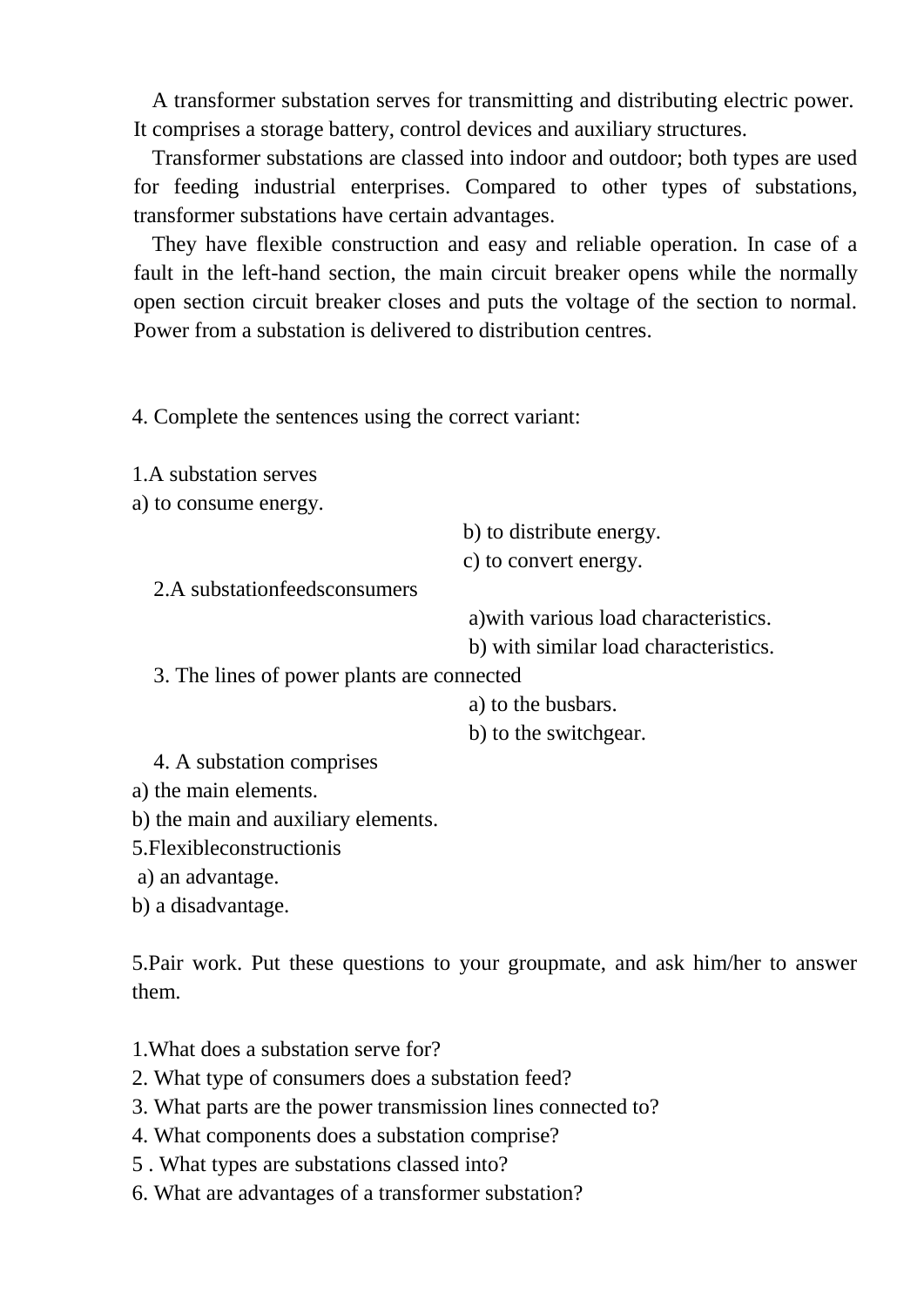A transformer substation serves for transmitting and distributing electric power. It comprises a storage battery, control devices and auxiliary structures.

Transformer substations are classed into indoor and outdoor; both types are used for feeding industrial enterprises. Compared to other types of substations, transformer substations have certain advantages.

They have flexible construction and easy and reliable operation. In case of a fault in the left-hand section, the main circuit breaker opens while the normally open section circuit breaker closes and puts the voltage of the section to normal. Power from a substation is delivered to distribution centres.

4. Complete the sentences using the correct variant:

1.A substation serves

a) to consume energy.

b) to distribute energy.

c) to convert energy.

2.A substationfeedsconsumers

a)with various load characteristics.

b) with similar load characteristics.

3. The lines of power plants are connected

a) to the busbars.

b) to the switchgear.

4. A substation comprises

a) the main elements.

b) the main and auxiliary elements.

5.Flexibleconstructionis

a) an advantage.

b) a disadvantage.

5.Pair work. Put these questions to your groupmate, and ask him/her to answer them.

- 1.What does a substation serve for?
- 2. What type of consumers does a substation feed?
- 3. What parts are the power transmission lines connected to?
- 4. What components does a substation comprise?
- 5 . What types are substations classed into?
- 6. What are advantages of a transformer substation?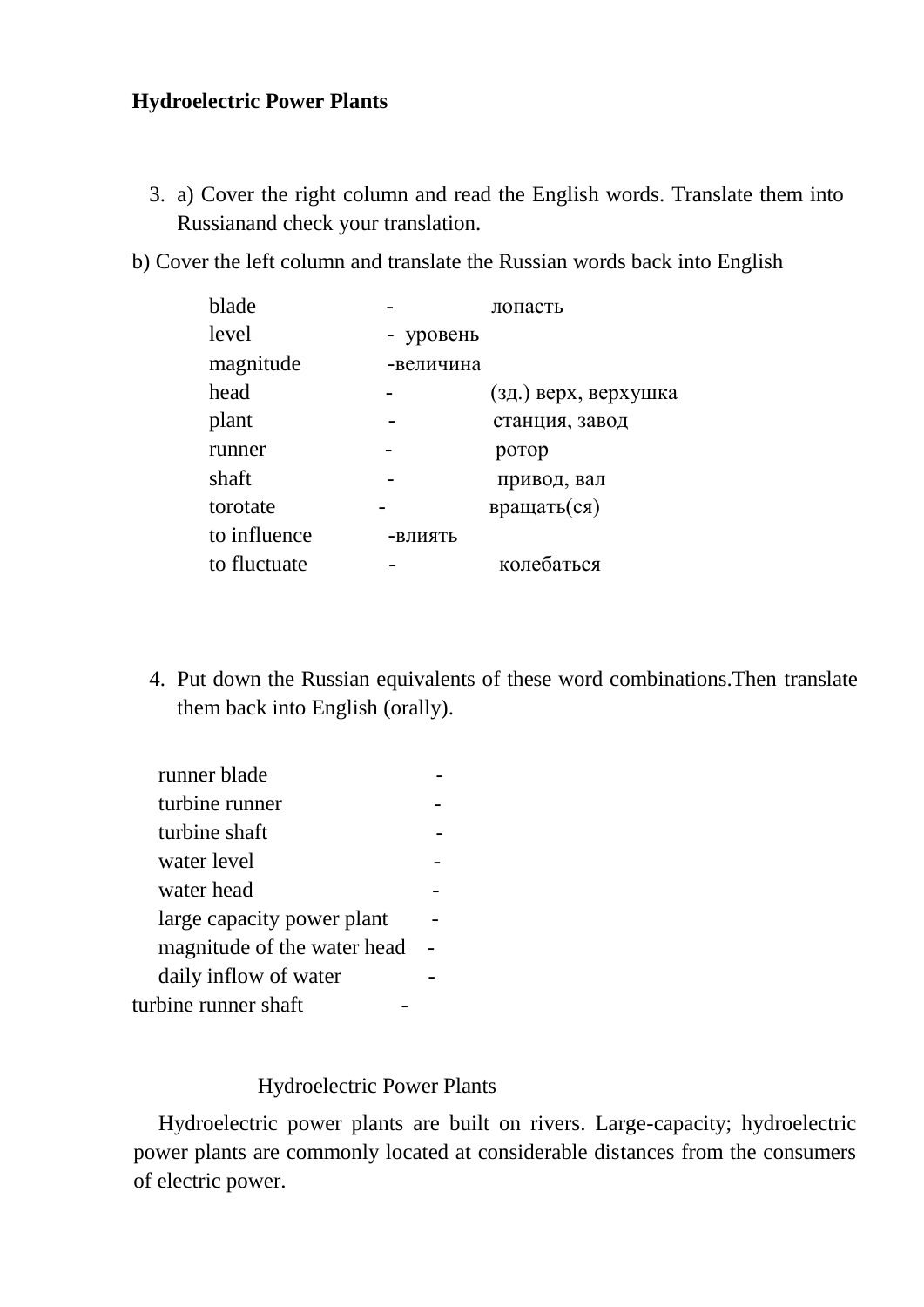# **Hydroelectric Power Plants**

- 3. a) Cover the right column and read the English words. Translate them into Russianand check your translation.
- b) Cover the left column and translate the Russian words back into English

| blade        |           | лопасть              |
|--------------|-----------|----------------------|
| level        | - уровень |                      |
| magnitude    | -величина |                      |
| head         |           | (зд.) верх, верхушка |
| plant        |           | станция, завод       |
| runner       |           | ротор                |
| shaft        |           | привод, вал          |
| torotate     |           | вращать(ся)          |
| to influence | -ВЛИЯТЬ   |                      |
| to fluctuate |           | колебаться           |

4. Put down the Russian equivalents of these word combinations.Then translate them back into English (orally).

| runner blade                |  |
|-----------------------------|--|
| turbine runner              |  |
| turbine shaft               |  |
| water level                 |  |
| water head                  |  |
| large capacity power plant  |  |
| magnitude of the water head |  |
| daily inflow of water       |  |
| turbine runner shaft        |  |

#### Hydroelectric Power Plants

Hydroelectric power plants are built on rivers. Large-capacity; hydroelectric power plants are commonly located at considerable distances from the consumers of electric power.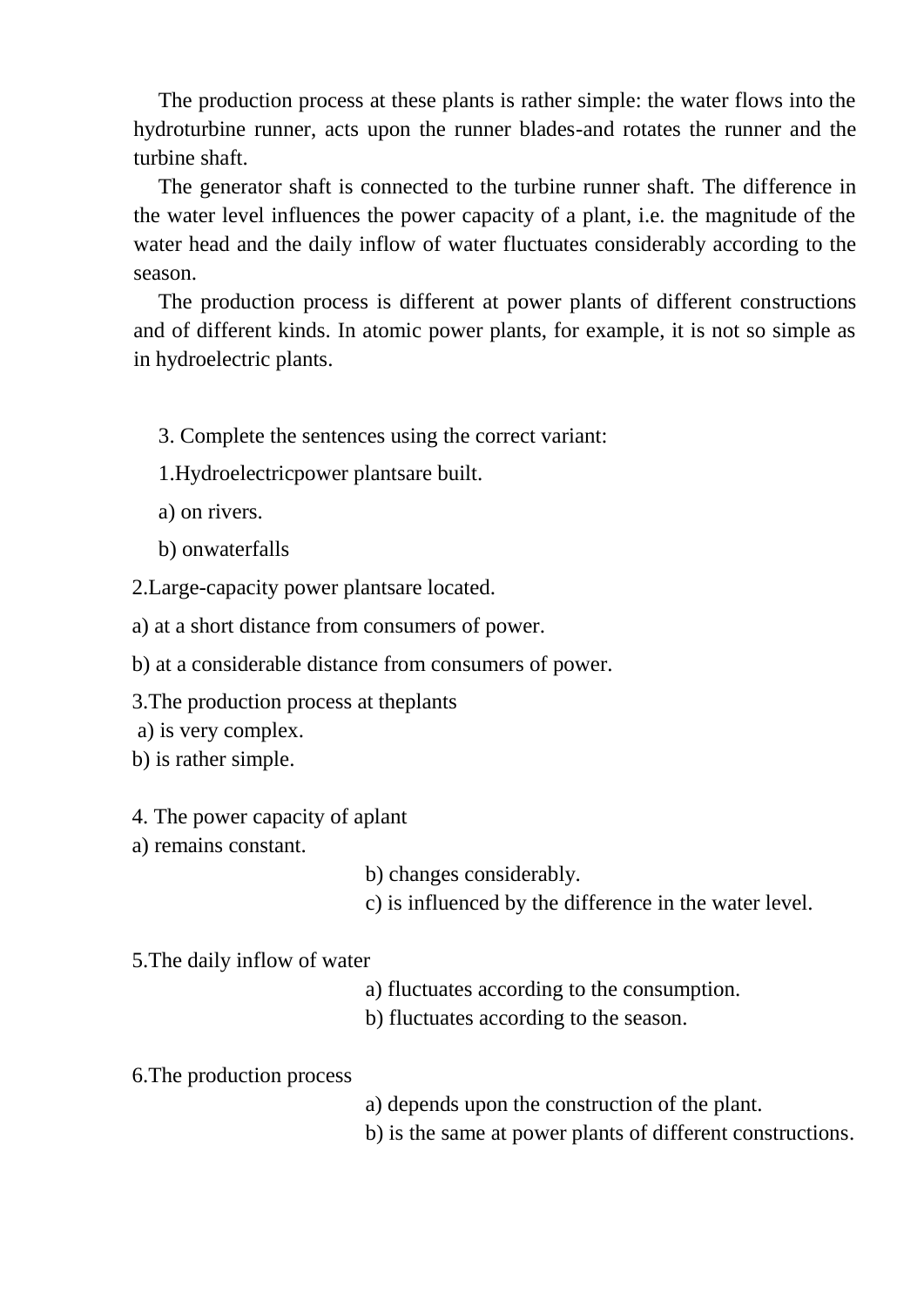The production process at these plants is rather simple: the water flows into the hydroturbine runner, acts upon the runner blades-and rotates the runner and the turbine shaft.

The generator shaft is connected to the turbine runner shaft. The difference in the water level influences the power capacity of a plant, i.e. the magnitude of the water head and the daily inflow of water fluctuates considerably according to the season.

The production process is different at power plants of different constructions and of different kinds. In atomic power plants, for example, it is not so simple as in hydroelectric plants.

- 3. Complete the sentences using the correct variant:
- 1.Hydroelectricpower plantsare built.
- a) on rivers.
- b) onwaterfalls

2.Large-capacity power plantsare located.

a) at a short distance from consumers of power.

b) at a considerable distance from consumers of power.

3.The production process at theplants

a) is very complex.

- b) is rather simple.
- 4. The power capacity of aplant
- a) remains constant.
- b) changes considerably.
- c) is influenced by the difference in the water level.
- 5.The daily inflow of water
	- a) fluctuates according to the consumption.
	- b) fluctuates according to the season.

#### 6.The production process

- a) depends upon the construction of the plant.
- b) is the same at power plants of different constructions.